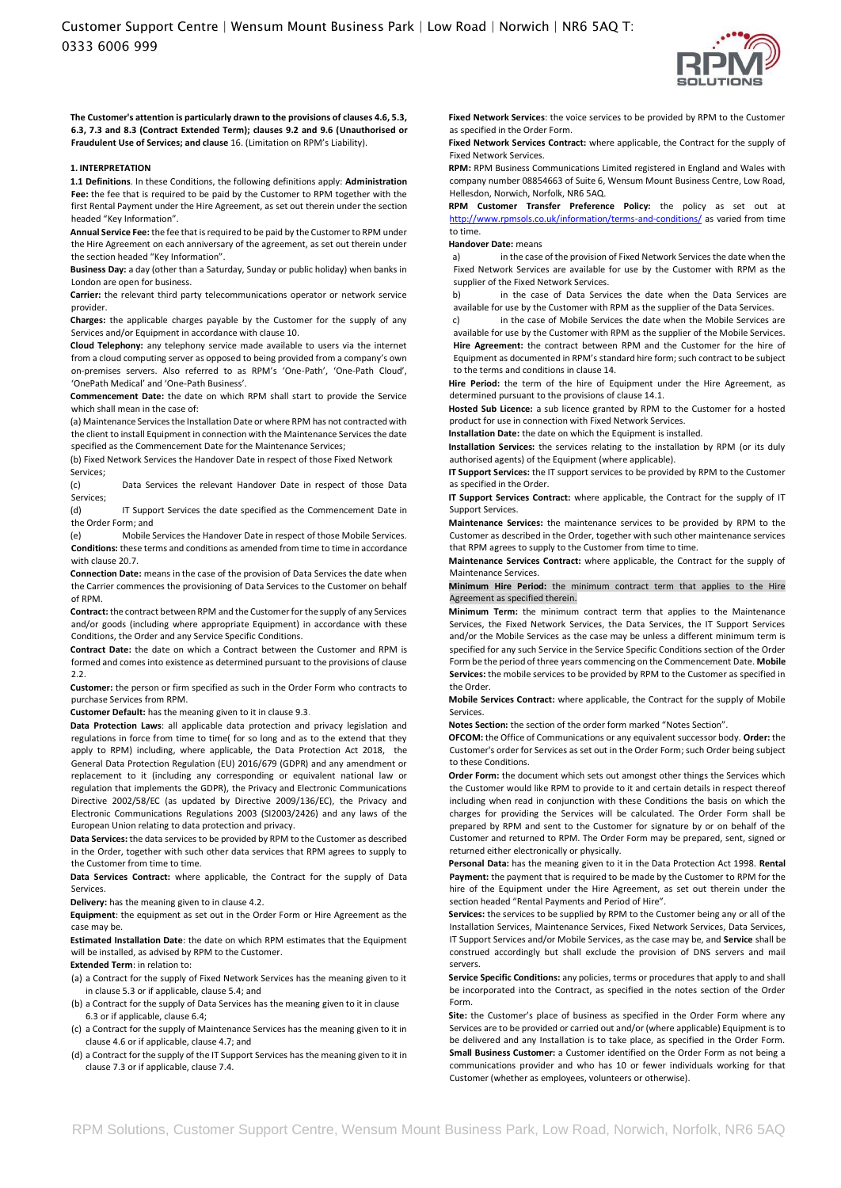

**The Customer's attention is particularly drawn to the provisions of clauses 4.6, 5.3, 6.3, 7.3 and 8.3 (Contract Extended Term); clauses 9.2 and 9.6 (Unauthorised or Fraudulent Use of Services; and clause** 16. (Limitation on RPM's Liability).

#### **1. INTERPRETATION**

**1.1 Definitions**. In these Conditions, the following definitions apply: **Administration Fee:** the fee that is required to be paid by the Customer to RPM together with the first Rental Payment under the Hire Agreement, as set out therein under the section headed "Key Information".

**Annual Service Fee:** the fee that is required to be paid by the Customer to RPM under the Hire Agreement on each anniversary of the agreement, as set out therein under the section headed "Key Information".

**Business Day:** a day (other than a Saturday, Sunday or public holiday) when banks in London are open for business.

**Carrier:** the relevant third party telecommunications operator or network service provider.

**Charges:** the applicable charges payable by the Customer for the supply of any Services and/or Equipment in accordance with clause 10.

**Cloud Telephony:** any telephony service made available to users via the internet from a cloud computing server as opposed to being provided from a company's own on-premises servers. Also referred to as RPM's 'One-Path', 'One-Path Cloud', 'OnePath Medical' and 'One-Path Business'.

**Commencement Date:** the date on which RPM shall start to provide the Service which shall mean in the case of:

(a) Maintenance Services the Installation Date or where RPM has not contracted with the client to install Equipment in connection with the Maintenance Services the date specified as the Commencement Date for the Maintenance Services;

(b) Fixed Network Services the Handover Date in respect of those Fixed Network Services;

(c) Data Services the relevant Handover Date in respect of those Data Services;

(d) IT Support Services the date specified as the Commencement Date in the Order Form; and

(e) Mobile Services the Handover Date in respect of those Mobile Services. **Conditions:** these terms and conditions as amended from time to time in accordance with clause 20.7.

**Connection Date:** means in the case of the provision of Data Services the date when the Carrier commences the provisioning of Data Services to the Customer on behalf of RPM.

**Contract:** the contract between RPM and the Customer for the supply of any Services and/or goods (including where appropriate Equipment) in accordance with these Conditions, the Order and any Service Specific Conditions.

**Contract Date:** the date on which a Contract between the Customer and RPM is formed and comes into existence as determined pursuant to the provisions of clause 2.2.

**Customer:** the person or firm specified as such in the Order Form who contracts to purchase Services from RPM.

**Customer Default:** has the meaning given to it in clause 9.3.

**Data Protection Laws**: all applicable data protection and privacy legislation and regulations in force from time to time( for so long and as to the extend that they apply to RPM) including, where applicable, the Data Protection Act 2018, the General Data Protection Regulation (EU) 2016/679 (GDPR) and any amendment or replacement to it (including any corresponding or equivalent national law or regulation that implements the GDPR), the Privacy and Electronic Communications Directive 2002/58/EC (as updated by Directive 2009/136/EC), the Privacy and Electronic Communications Regulations 2003 (SI2003/2426) and any laws of the European Union relating to data protection and privacy.

**Data Services:** the data services to be provided by RPM to the Customer as described in the Order, together with such other data services that RPM agrees to supply to the Customer from time to time.

**Data Services Contract:** where applicable, the Contract for the supply of Data Services.

**Delivery:** has the meaning given to in clause 4.2.

**Equipment**: the equipment as set out in the Order Form or Hire Agreement as the case may be.

**Estimated Installation Date**: the date on which RPM estimates that the Equipment will be installed, as advised by RPM to the Customer.

**Extended Term**: in relation to:

(a) a Contract for the supply of Fixed Network Services has the meaning given to it in clause 5.3 or if applicable, clause 5.4; and

(b) a Contract for the supply of Data Services has the meaning given to it in clause 6.3 or if applicable, clause 6.4;

(c) a Contract for the supply of Maintenance Services has the meaning given to it in clause 4.6 or if applicable, clause 4.7; and

(d) a Contract for the supply of the IT Support Services has the meaning given to it in clause 7.3 or if applicable, clause 7.4.

**Fixed Network Services**: the voice services to be provided by RPM to the Customer as specified in the Order Form.

**Fixed Network Services Contract:** where applicable, the Contract for the supply of Fixed Network Services.

**RPM:** RPM Business Communications Limited registered in England and Wales with company number 08854663 of Suite 6, Wensum Mount Business Centre, Low Road, Hellesdon, Norwich, Norfolk, NR6 5AQ.

**RPM Customer Transfer Preference Policy:** the policy as set out at <http://www.rpmsols.co.uk/information/terms-and-conditions/> [as](http://www.rpmsols.co.uk/information/terms-and-conditions/) varied from time to time.

## **Handover Date:** means

a) in the case of the provision of Fixed Network Services the date when the Fixed Network Services are available for use by the Customer with RPM as the supplier of the Fixed Network Services.

b) in the case of Data Services the date when the Data Services are available for use by the Customer with RPM as the supplier of the Data Services.

c) in the case of Mobile Services the date when the Mobile Services are available for use by the Customer with RPM as the supplier of the Mobile Services. **Hire Agreement:** the contract between RPM and the Customer for the hire of Equipment as documented in RPM's standard hire form; such contract to be subject to the terms and conditions in clause 14.

**Hire Period:** the term of the hire of Equipment under the Hire Agreement, as determined pursuant to the provisions of clause 14.1.

**Hosted Sub Licence:** a sub licence granted by RPM to the Customer for a hosted product for use in connection with Fixed Network Services.

**Installation Date:** the date on which the Equipment is installed.

**Installation Services:** the services relating to the installation by RPM (or its duly authorised agents) of the Equipment (where applicable).

**IT Support Services:** the IT support services to be provided by RPM to the Customer as specified in the Order.

**IT Support Services Contract:** where applicable, the Contract for the supply of IT Support Services.

**Maintenance Services:** the maintenance services to be provided by RPM to the Customer as described in the Order, together with such other maintenance services that RPM agrees to supply to the Customer from time to time.

**Maintenance Services Contract:** where applicable, the Contract for the supply of Maintenance Services.

**Minimum Hire Period:** the minimum contract term that applies to the Hire Agreement as specified therein.

**Minimum Term:** the minimum contract term that applies to the Maintenance Services, the Fixed Network Services, the Data Services, the IT Support Services and/or the Mobile Services as the case may be unless a different minimum term is specified for any such Service in the Service Specific Conditions section of the Order Form be the period of three years commencing on the Commencement Date. **Mobile Services:** the mobile services to be provided by RPM to the Customer as specified in the Order.

**Mobile Services Contract:** where applicable, the Contract for the supply of Mobile Services.

**Notes Section:** the section of the order form marked "Notes Section".

**OFCOM:** the Office of Communications or any equivalent successor body. **Order:** the Customer's order for Services as set out in the Order Form; such Order being subject to these Conditions.

**Order Form:** the document which sets out amongst other things the Services which the Customer would like RPM to provide to it and certain details in respect thereof including when read in conjunction with these Conditions the basis on which the charges for providing the Services will be calculated. The Order Form shall be prepared by RPM and sent to the Customer for signature by or on behalf of the Customer and returned to RPM. The Order Form may be prepared, sent, signed or returned either electronically or physically.

**Personal Data:** has the meaning given to it in the Data Protection Act 1998. **Rental Payment:** the payment that is required to be made by the Customer to RPM for the hire of the Equipment under the Hire Agreement, as set out therein under the section headed "Rental Payments and Period of Hire".

**Services:** the services to be supplied by RPM to the Customer being any or all of the Installation Services, Maintenance Services, Fixed Network Services, Data Services, IT Support Services and/or Mobile Services, as the case may be, and **Service** shall be construed accordingly but shall exclude the provision of DNS servers and mail servers.

**Service Specific Conditions:** any policies, terms or procedures that apply to and shall be incorporated into the Contract, as specified in the notes section of the Order Form.

**Site:** the Customer's place of business as specified in the Order Form where any Services are to be provided or carried out and/or (where applicable) Equipment is to be delivered and any Installation is to take place, as specified in the Order Form. **Small Business Customer:** a Customer identified on the Order Form as not being a communications provider and who has 10 or fewer individuals working for that Customer (whether as employees, volunteers or otherwise).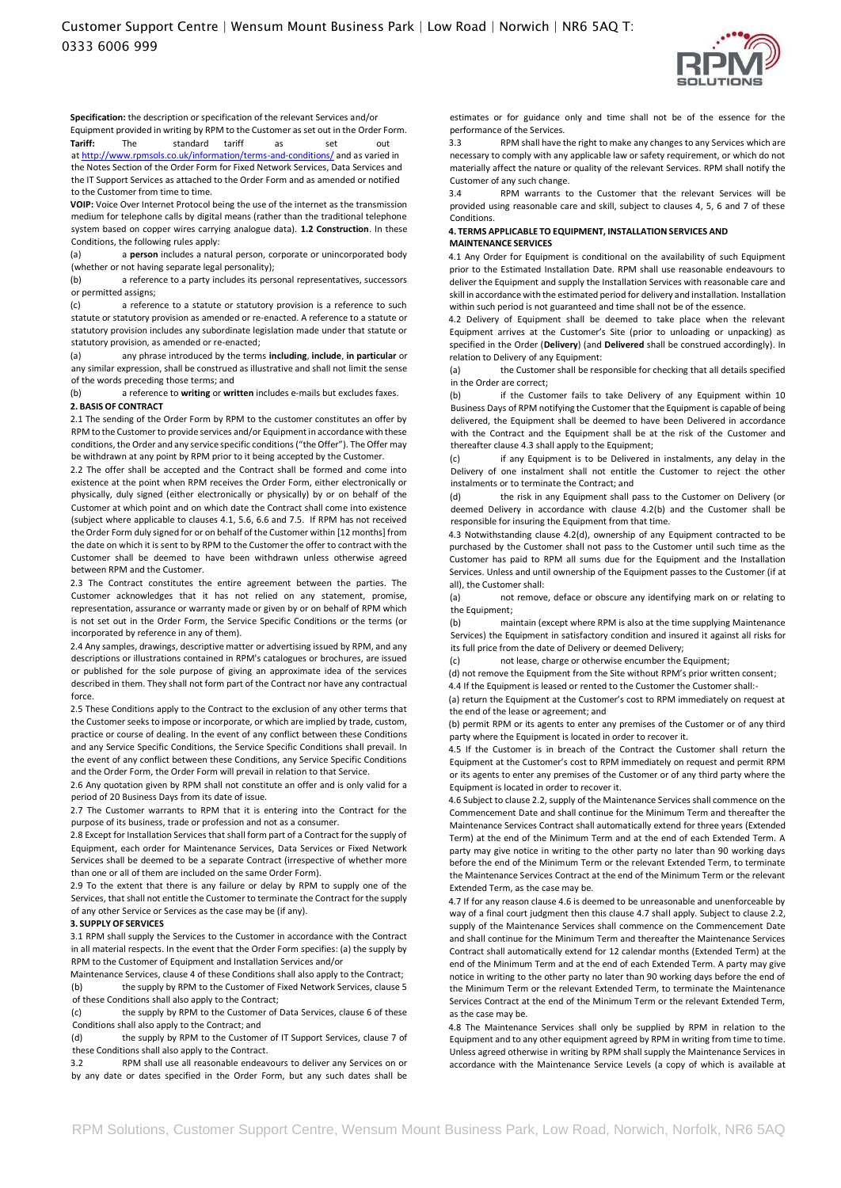

**Specification:** the description or specification of the relevant Services and/or

Equipment provided in writing by RPM to the Customer as set out in the Order Form.<br> **Tariff:** The standard tariff as set out The standard tariff as set out

a[t http://www.rpmsols.co.uk/information/terms-and-conditions/](http://www.rpmsols.co.uk/information/terms-and-conditions/) [an](http://www.rpmsols.co.uk/information/terms-and-conditions/)d as varied in the Notes Section of the Order Form for Fixed Network Services, Data Services and the IT Support Services as attached to the Order Form and as amended or notified to the Customer from time to time.

**VOIP:** Voice Over Internet Protocol being the use of the internet as the transmission medium for telephone calls by digital means (rather than the traditional telephone system based on copper wires carrying analogue data). **1.2 Construction**. In these Conditions, the following rules apply:

(a) a **person** includes a natural person, corporate or unincorporated body (whether or not having separate legal personality);

(b) a reference to a party includes its personal representatives, successors or permitted assigns;

(c) a reference to a statute or statutory provision is a reference to such statute or statutory provision as amended or re-enacted. A reference to a statute or statutory provision includes any subordinate legislation made under that statute or statutory provision, as amended or re-enacted;

(a) any phrase introduced by the terms **including**, **include**, **in particular** or any similar expression, shall be construed as illustrative and shall not limit the sense of the words preceding those terms; and

(b) a reference to **writing** or **written** includes e-mails but excludes faxes. **2. BASIS OF CONTRACT** 

2.1 The sending of the Order Form by RPM to the customer constitutes an offer by RPM to the Customer to provide services and/or Equipment in accordance with these conditions, the Order and any service specific conditions ("the Offer"). The Offer may be withdrawn at any point by RPM prior to it being accepted by the Customer.

2.2 The offer shall be accepted and the Contract shall be formed and come into existence at the point when RPM receives the Order Form, either electronically or physically, duly signed (either electronically or physically) by or on behalf of the Customer at which point and on which date the Contract shall come into existence (subject where applicable to clauses 4.1, 5.6, 6.6 and 7.5. If RPM has not received the Order Form duly signed for or on behalf of the Customer within [12 months] from the date on which it is sent to by RPM to the Customer the offer to contract with the Customer shall be deemed to have been withdrawn unless otherwise agreed between RPM and the Customer.

2.3 The Contract constitutes the entire agreement between the parties. The Customer acknowledges that it has not relied on any statement, promise, representation, assurance or warranty made or given by or on behalf of RPM which is not set out in the Order Form, the Service Specific Conditions or the terms (or incorporated by reference in any of them).

2.4 Any samples, drawings, descriptive matter or advertising issued by RPM, and any descriptions or illustrations contained in RPM's catalogues or brochures, are issued or published for the sole purpose of giving an approximate idea of the services described in them. They shall not form part of the Contract nor have any contractual force.

2.5 These Conditions apply to the Contract to the exclusion of any other terms that the Customer seeks to impose or incorporate, or which are implied by trade, custom, practice or course of dealing. In the event of any conflict between these Conditions and any Service Specific Conditions, the Service Specific Conditions shall prevail. In the event of any conflict between these Conditions, any Service Specific Conditions and the Order Form, the Order Form will prevail in relation to that Service.

2.6 Any quotation given by RPM shall not constitute an offer and is only valid for a period of 20 Business Days from its date of issue.

2.7 The Customer warrants to RPM that it is entering into the Contract for the purpose of its business, trade or profession and not as a consumer.

2.8 Except for Installation Services that shall form part of a Contract for the supply of Equipment, each order for Maintenance Services, Data Services or Fixed Network Services shall be deemed to be a separate Contract (irrespective of whether more than one or all of them are included on the same Order Form).

2.9 To the extent that there is any failure or delay by RPM to supply one of the Services, that shall not entitle the Customer to terminate the Contract for the supply of any other Service or Services as the case may be (if any).

## **3. SUPPLY OF SERVICES**

3.1 RPM shall supply the Services to the Customer in accordance with the Contract in all material respects. In the event that the Order Form specifies: (a) the supply by RPM to the Customer of Equipment and Installation Services and/or

Maintenance Services, clause 4 of these Conditions shall also apply to the Contract; (b) the supply by RPM to the Customer of Fixed Network Services, clause 5 of these Conditions shall also apply to the Contract;

(c) the supply by RPM to the Customer of Data Services, clause 6 of these Conditions shall also apply to the Contract; and

(d) the supply by RPM to the Customer of IT Support Services, clause 7 of these Conditions shall also apply to the Contract.

3.2 RPM shall use all reasonable endeavours to deliver any Services on or by any date or dates specified in the Order Form, but any such dates shall be

estimates or for guidance only and time shall not be of the essence for the performance of the Services.

3.3 RPM shall have the right to make any changes to any Services which are necessary to comply with any applicable law or safety requirement, or which do not materially affect the nature or quality of the relevant Services. RPM shall notify the Customer of any such change.

3.4 RPM warrants to the Customer that the relevant Services will be provided using reasonable care and skill, subject to clauses 4, 5, 6 and 7 of these Conditions.

#### **4. TERMS APPLICABLE TO EQUIPMENT, INSTALLATION SERVICES AND MAINTENANCE SERVICES**

4.1 Any Order for Equipment is conditional on the availability of such Equipment prior to the Estimated Installation Date. RPM shall use reasonable endeavours to deliver the Equipment and supply the Installation Services with reasonable care and skill in accordance with the estimated period for delivery and installation. Installation within such period is not guaranteed and time shall not be of the essence.

4.2 Delivery of Equipment shall be deemed to take place when the relevant Equipment arrives at the Customer's Site (prior to unloading or unpacking) as specified in the Order (**Delivery**) (and **Delivered** shall be construed accordingly). In relation to Delivery of any Equipment:

(a) the Customer shall be responsible for checking that all details specified in the Order are correct;

(b) if the Customer fails to take Delivery of any Equipment within 10 Business Days of RPM notifying the Customer that the Equipment is capable of being delivered, the Equipment shall be deemed to have been Delivered in accordance with the Contract and the Equipment shall be at the risk of the Customer and thereafter clause 4.3 shall apply to the Equipment;

(c) if any Equipment is to be Delivered in instalments, any delay in the Delivery of one instalment shall not entitle the Customer to reject the other instalments or to terminate the Contract; and

(d) the risk in any Equipment shall pass to the Customer on Delivery (or deemed Delivery in accordance with clause 4.2(b) and the Customer shall be responsible for insuring the Equipment from that time.

4.3 Notwithstanding clause 4.2(d), ownership of any Equipment contracted to be purchased by the Customer shall not pass to the Customer until such time as the Customer has paid to RPM all sums due for the Equipment and the Installation Services. Unless and until ownership of the Equipment passes to the Customer (if at all), the Customer shall:

(a) not remove, deface or obscure any identifying mark on or relating to the Equipment;

(b) maintain (except where RPM is also at the time supplying Maintenance Services) the Equipment in satisfactory condition and insured it against all risks for its full price from the date of Delivery or deemed Delivery;

(c) not lease, charge or otherwise encumber the Equipment;

(d) not remove the Equipment from the Site without RPM's prior written consent;

4.4 If the Equipment is leased or rented to the Customer the Customer shall:- (a) return the Equipment at the Customer's cost to RPM immediately on request at the end of the lease or agreement; and

(b) permit RPM or its agents to enter any premises of the Customer or of any third party where the Equipment is located in order to recover it.

4.5 If the Customer is in breach of the Contract the Customer shall return the Equipment at the Customer's cost to RPM immediately on request and permit RPM or its agents to enter any premises of the Customer or of any third party where the Equipment is located in order to recover it.

4.6 Subject to clause 2.2, supply of the Maintenance Services shall commence on the Commencement Date and shall continue for the Minimum Term and thereafter the Maintenance Services Contract shall automatically extend for three years (Extended Term) at the end of the Minimum Term and at the end of each Extended Term. A party may give notice in writing to the other party no later than 90 working days before the end of the Minimum Term or the relevant Extended Term, to terminate the Maintenance Services Contract at the end of the Minimum Term or the relevant Extended Term, as the case may be.

4.7 If for any reason clause 4.6 is deemed to be unreasonable and unenforceable by way of a final court judgment then this clause 4.7 shall apply. Subject to clause 2.2, supply of the Maintenance Services shall commence on the Commencement Date and shall continue for the Minimum Term and thereafter the Maintenance Services Contract shall automatically extend for 12 calendar months (Extended Term) at the end of the Minimum Term and at the end of each Extended Term. A party may give notice in writing to the other party no later than 90 working days before the end of the Minimum Term or the relevant Extended Term, to terminate the Maintenance Services Contract at the end of the Minimum Term or the relevant Extended Term, as the case may be.

4.8 The Maintenance Services shall only be supplied by RPM in relation to the Equipment and to any other equipment agreed by RPM in writing from time to time. Unless agreed otherwise in writing by RPM shall supply the Maintenance Services in accordance with the Maintenance Service Levels (a copy of which is available at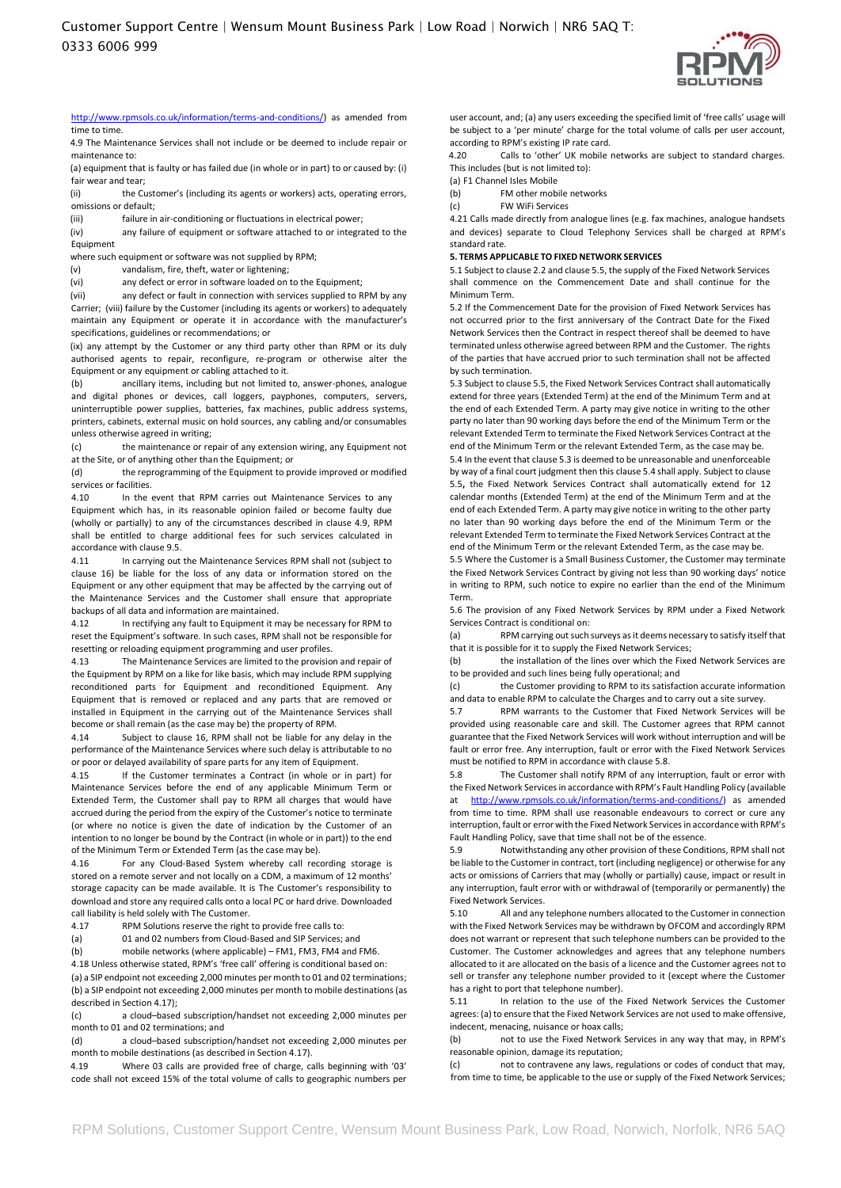

[http://www.rpmsols.co.uk/information/terms-and-conditions/\) a](http://www.rpmsols.co.uk/information/terms-and-conditions/)s amended from time to time.

4.9 The Maintenance Services shall not include or be deemed to include repair or maintenance to:

(a) equipment that is faulty or has failed due (in whole or in part) to or caused by: (i) fair wear and tear;

(ii) the Customer's (including its agents or workers) acts, operating errors,

omissions or default; (iii) failure in air-conditioning or fluctuations in electrical power;

(iv) any failure of equipment or software attached to or integrated to the Equipment

where such equipment or software was not supplied by RPM;

(v) vandalism, fire, theft, water or lightening;

(vi) any defect or error in software loaded on to the Equipment;

(vii) any defect or fault in connection with services supplied to RPM by any Carrier; (viii) failure by the Customer (including its agents or workers) to adequately maintain any Equipment or operate it in accordance with the manufacturer's specifications, guidelines or recommendations; or

(ix) any attempt by the Customer or any third party other than RPM or its duly authorised agents to repair, reconfigure, re-program or otherwise alter the Equipment or any equipment or cabling attached to it.

(b) ancillary items, including but not limited to, answer-phones, analogue and digital phones or devices, call loggers, payphones, computers, servers, uninterruptible power supplies, batteries, fax machines, public address systems, printers, cabinets, external music on hold sources, any cabling and/or consumables unless otherwise agreed in writing;

(c) the maintenance or repair of any extension wiring, any Equipment not at the Site, or of anything other than the Equipment; or

(d) the reprogramming of the Equipment to provide improved or modified services or facilities.

4.10 In the event that RPM carries out Maintenance Services to any Equipment which has, in its reasonable opinion failed or become faulty due (wholly or partially) to any of the circumstances described in clause 4.9, RPM shall be entitled to charge additional fees for such services calculated in accordance with clause 9.5.

4.11 In carrying out the Maintenance Services RPM shall not (subject to clause 16) be liable for the loss of any data or information stored on the Equipment or any other equipment that may be affected by the carrying out of the Maintenance Services and the Customer shall ensure that appropriate backups of all data and information are maintained.

4.12 In rectifying any fault to Equipment it may be necessary for RPM to reset the Equipment's software. In such cases, RPM shall not be responsible for resetting or reloading equipment programming and user profiles.

4.13 The Maintenance Services are limited to the provision and repair of the Equipment by RPM on a like for like basis, which may include RPM supplying reconditioned parts for Equipment and reconditioned Equipment. Any Equipment that is removed or replaced and any parts that are removed or installed in Equipment in the carrying out of the Maintenance Services shall become or shall remain (as the case may be) the property of RPM.

4.14 Subject to clause 16, RPM shall not be liable for any delay in the performance of the Maintenance Services where such delay is attributable to no or poor or delayed availability of spare parts for any item of Equipment.

4.15 If the Customer terminates a Contract (in whole or in part) for Maintenance Services before the end of any applicable Minimum Term or Extended Term, the Customer shall pay to RPM all charges that would have accrued during the period from the expiry of the Customer's notice to terminate (or where no notice is given the date of indication by the Customer of an intention to no longer be bound by the Contract (in whole or in part)) to the end of the Minimum Term or Extended Term (as the case may be).

4.16 For any Cloud-Based System whereby call recording storage is stored on a remote server and not locally on a CDM, a maximum of 12 months' storage capacity can be made available. It is The Customer's responsibility to download and store any required calls onto a local PC or hard drive. Downloaded call liability is held solely with The Customer.

4.17 RPM Solutions reserve the right to provide free calls to:

(a) 01 and 02 numbers from Cloud-Based and SIP Services; and

(b) mobile networks (where applicable) – FM1, FM3, FM4 and FM6.

4.18 Unless otherwise stated, RPM's 'free call' offering is conditional based on:

(a) a SIP endpoint not exceeding 2,000 minutes per month to 01 and 02 terminations; (b) a SIP endpoint not exceeding 2,000 minutes per month to mobile destinations (as described in Section 4.17);

(c) a cloud–based subscription/handset not exceeding 2,000 minutes per month to 01 and 02 terminations; and

(d) a cloud–based subscription/handset not exceeding 2,000 minutes per month to mobile destinations (as described in Section 4.17).

4.19 Where 03 calls are provided free of charge, calls beginning with '03' code shall not exceed 15% of the total volume of calls to geographic numbers per user account, and; (a) any users exceeding the specified limit of 'free calls' usage will be subject to a 'per minute' charge for the total volume of calls per user account, according to RPM's existing IP rate card.

4.20 Calls to 'other' UK mobile networks are subject to standard charges. This includes (but is not limited to):

(a) F1 Channel Isles Mobile

(b) FM other mobile networks

(c) FW WiFi Services

4.21 Calls made directly from analogue lines (e.g. fax machines, analogue handsets and devices) separate to Cloud Telephony Services shall be charged at RPM's standard rate.

## **5. TERMS APPLICABLE TO FIXED NETWORK SERVICES**

5.1 Subject to clause 2.2 and clause 5.5, the supply of the Fixed Network Services shall commence on the Commencement Date and shall continue for the Minimum Term.

5.2 If the Commencement Date for the provision of Fixed Network Services has not occurred prior to the first anniversary of the Contract Date for the Fixed Network Services then the Contract in respect thereof shall be deemed to have terminated unless otherwise agreed between RPM and the Customer. The rights of the parties that have accrued prior to such termination shall not be affected by such termination.

5.3 Subject to clause 5.5, the Fixed Network Services Contract shall automatically extend for three years (Extended Term) at the end of the Minimum Term and at the end of each Extended Term. A party may give notice in writing to the other party no later than 90 working days before the end of the Minimum Term or the relevant Extended Term to terminate the Fixed Network Services Contract at the end of the Minimum Term or the relevant Extended Term, as the case may be. 5.4 In the event that clause 5.3 is deemed to be unreasonable and unenforceable

by way of a final court judgment then this clause 5.4 shall apply. Subject to clause 5.5**,** the Fixed Network Services Contract shall automatically extend for 12 calendar months (Extended Term) at the end of the Minimum Term and at the end of each Extended Term. A party may give notice in writing to the other party no later than 90 working days before the end of the Minimum Term or the relevant Extended Term to terminate the Fixed Network Services Contract at the end of the Minimum Term or the relevant Extended Term, as the case may be.

5.5 Where the Customer is a Small Business Customer, the Customer may terminate the Fixed Network Services Contract by giving not less than 90 working days' notice in writing to RPM, such notice to expire no earlier than the end of the Minimum Term.

5.6 The provision of any Fixed Network Services by RPM under a Fixed Network Services Contract is conditional on:

(a) RPM carrying out such surveys as it deems necessary to satisfy itself that that it is possible for it to supply the Fixed Network Services;

(b) the installation of the lines over which the Fixed Network Services are to be provided and such lines being fully operational; and

(c) the Customer providing to RPM to its satisfaction accurate information and data to enable RPM to calculate the Charges and to carry out a site survey.

5.7 RPM warrants to the Customer that Fixed Network Services will be provided using reasonable care and skill. The Customer agrees that RPM cannot guarantee that the Fixed Network Services will work without interruption and will be fault or error free. Any interruption, fault or error with the Fixed Network Services must be notified to RPM in accordance with clause 5.8.

5.8 The Customer shall notify RPM of any interruption, fault or error with the Fixed Network Services in accordance with RPM's Fault Handling Policy (available at [http://www.rpmsols.co.uk/information/terms-and-conditions/\) a](http://www.rpmsols.co.uk/information/terms-and-conditions/)s amended from time to time. RPM shall use reasonable endeavours to correct or cure any interruption, fault or error with the Fixed Network Services in accordance with RPM's Fault Handling Policy, save that time shall not be of the essence.

5.9 Notwithstanding any other provision of these Conditions, RPM shall not be liable to the Customer in contract, tort (including negligence) or otherwise for any acts or omissions of Carriers that may (wholly or partially) cause, impact or result in any interruption, fault error with or withdrawal of (temporarily or permanently) the Fixed Network Services.

5.10 All and any telephone numbers allocated to the Customer in connection with the Fixed Network Services may be withdrawn by OFCOM and accordingly RPM does not warrant or represent that such telephone numbers can be provided to the Customer. The Customer acknowledges and agrees that any telephone numbers allocated to it are allocated on the basis of a licence and the Customer agrees not to sell or transfer any telephone number provided to it (except where the Customer has a right to port that telephone number).

5.11 In relation to the use of the Fixed Network Services the Customer agrees: (a) to ensure that the Fixed Network Services are not used to make offensive, indecent, menacing, nuisance or hoax calls;

(b) not to use the Fixed Network Services in any way that may, in RPM's reasonable opinion, damage its reputation;

(c) not to contravene any laws, regulations or codes of conduct that may, from time to time, be applicable to the use or supply of the Fixed Network Services;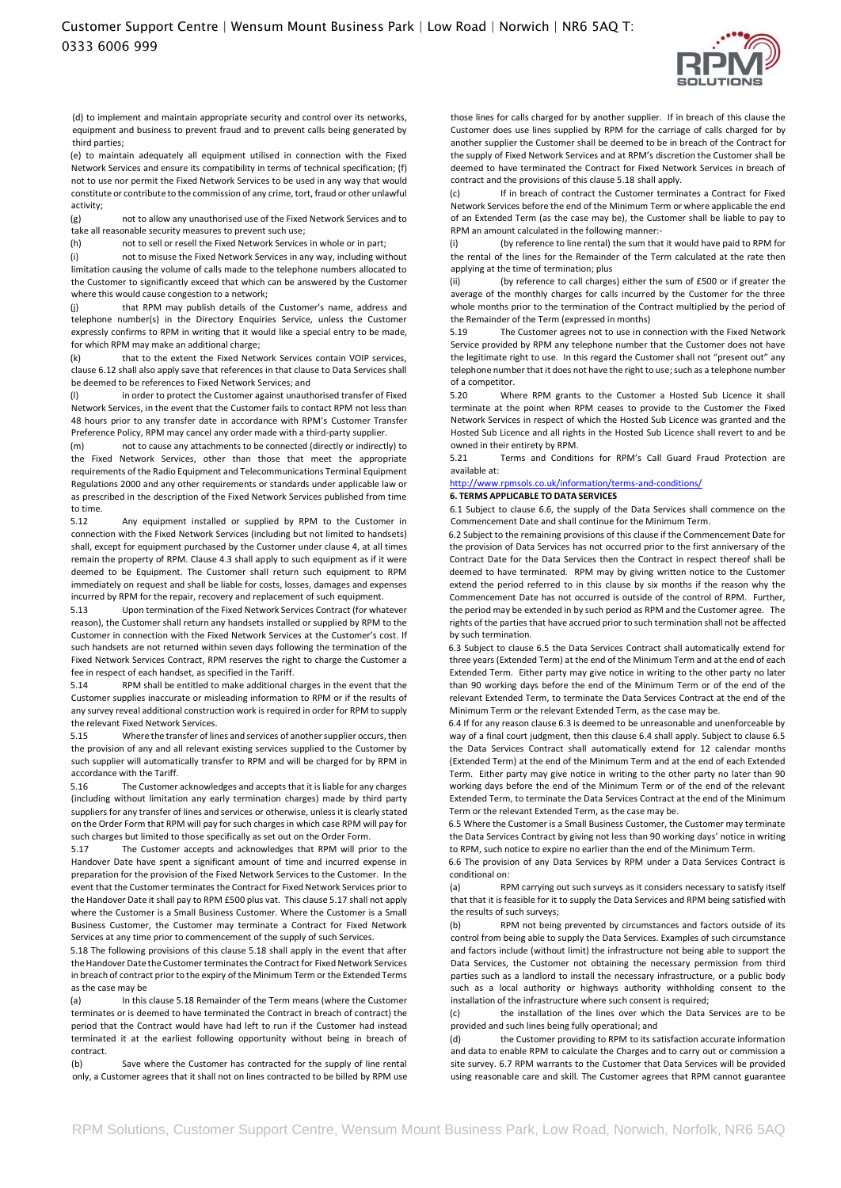

(d) to implement and maintain appropriate security and control over its networks, equipment and business to prevent fraud and to prevent calls being generated by third parties;

(e) to maintain adequately all equipment utilised in connection with the Fixed Network Services and ensure its compatibility in terms of technical specification; (f) not to use nor permit the Fixed Network Services to be used in any way that would constitute or contribute to the commission of any crime, tort, fraud or other unlawful activity;

(g) not to allow any unauthorised use of the Fixed Network Services and to take all reasonable security measures to prevent such use;

(h) not to sell or resell the Fixed Network Services in whole or in part;

(i) not to misuse the Fixed Network Services in any way, including without limitation causing the volume of calls made to the telephone numbers allocated to the Customer to significantly exceed that which can be answered by the Customer where this would cause congestion to a network;

that RPM may publish details of the Customer's name, address and telephone number(s) in the Directory Enquiries Service, unless the Customer expressly confirms to RPM in writing that it would like a special entry to be made, for which RPM may make an additional charge;

(k) that to the extent the Fixed Network Services contain VOIP services, clause 6.12 shall also apply save that references in that clause to Data Services shall be deemed to be references to Fixed Network Services; and

(l) in order to protect the Customer against unauthorised transfer of Fixed Network Services, in the event that the Customer fails to contact RPM not less than 48 hours prior to any transfer date in accordance with RPM's Customer Transfer Preference Policy, RPM may cancel any order made with a third-party supplier.

(m) not to cause any attachments to be connected (directly or indirectly) to the Fixed Network Services, other than those that meet the appropriate requirements of the Radio Equipment and Telecommunications Terminal Equipment Regulations 2000 and any other requirements or standards under applicable law or as prescribed in the description of the Fixed Network Services published from time to time.

5.12 Any equipment installed or supplied by RPM to the Customer in connection with the Fixed Network Services (including but not limited to handsets) shall, except for equipment purchased by the Customer under clause 4, at all times remain the property of RPM. Clause 4.3 shall apply to such equipment as if it were deemed to be Equipment. The Customer shall return such equipment to RPM immediately on request and shall be liable for costs, losses, damages and expenses incurred by RPM for the repair, recovery and replacement of such equipment.

5.13 Upon termination of the Fixed Network Services Contract (for whatever reason), the Customer shall return any handsets installed or supplied by RPM to the Customer in connection with the Fixed Network Services at the Customer's cost. If such handsets are not returned within seven days following the termination of the Fixed Network Services Contract, RPM reserves the right to charge the Customer a fee in respect of each handset, as specified in the Tariff.

5.14 RPM shall be entitled to make additional charges in the event that the Customer supplies inaccurate or misleading information to RPM or if the results of any survey reveal additional construction work is required in order for RPM to supply the relevant Fixed Network Services.

5.15 Where the transfer of lines and services of another supplier occurs, then the provision of any and all relevant existing services supplied to the Customer by such supplier will automatically transfer to RPM and will be charged for by RPM in accordance with the Tariff.

5.16 The Customer acknowledges and accepts that it is liable for any charges (including without limitation any early termination charges) made by third party suppliers for any transfer of lines and services or otherwise, unless it is clearly stated on the Order Form that RPM will pay for such charges in which case RPM will pay for such charges but limited to those specifically as set out on the Order Form.

5.17 The Customer accepts and acknowledges that RPM will prior to the Handover Date have spent a significant amount of time and incurred expense in preparation for the provision of the Fixed Network Services to the Customer. In the event that the Customer terminates the Contract for Fixed Network Services prior to the Handover Date it shall pay to RPM £500 plus vat. This clause 5.17 shall not apply where the Customer is a Small Business Customer. Where the Customer is a Small Business Customer, the Customer may terminate a Contract for Fixed Network Services at any time prior to commencement of the supply of such Services.

5.18 The following provisions of this clause 5.18 shall apply in the event that after the Handover Date the Customer terminates the Contract for Fixed Network Services in breach of contract prior to the expiry of the Minimum Term or the Extended Terms as the case may be

(a) In this clause 5.18 Remainder of the Term means (where the Customer terminates or is deemed to have terminated the Contract in breach of contract) the period that the Contract would have had left to run if the Customer had instead terminated it at the earliest following opportunity without being in breach of contract.

(b) Save where the Customer has contracted for the supply of line rental only, a Customer agrees that it shall not on lines contracted to be billed by RPM use those lines for calls charged for by another supplier. If in breach of this clause the Customer does use lines supplied by RPM for the carriage of calls charged for by another supplier the Customer shall be deemed to be in breach of the Contract for the supply of Fixed Network Services and at RPM's discretion the Customer shall be deemed to have terminated the Contract for Fixed Network Services in breach of contract and the provisions of this clause 5.18 shall apply.

(c) If in breach of contract the Customer terminates a Contract for Fixed Network Services before the end of the Minimum Term or where applicable the end of an Extended Term (as the case may be), the Customer shall be liable to pay to RPM an amount calculated in the following manner:-

(by reference to line rental) the sum that it would have paid to RPM for the rental of the lines for the Remainder of the Term calculated at the rate then applying at the time of termination; plus

(ii) (by reference to call charges) either the sum of £500 or if greater the average of the monthly charges for calls incurred by the Customer for the three whole months prior to the termination of the Contract multiplied by the period of the Remainder of the Term (expressed in months)

The Customer agrees not to use in connection with the Fixed Network Service provided by RPM any telephone number that the Customer does not have the legitimate right to use. In this regard the Customer shall not "present out" any telephone number that it does not have the right to use; such as a telephone number of a competitor.

5.20 Where RPM grants to the Customer a Hosted Sub Licence it shall terminate at the point when RPM ceases to provide to the Customer the Fixed Network Services in respect of which the Hosted Sub Licence was granted and the Hosted Sub Licence and all rights in the Hosted Sub Licence shall revert to and be owned in their entirety by RPM.

5.21 Terms and Conditions for RPM's Call Guard Fraud Protection are available at:

## <http://www.rpmsols.co.uk/information/terms-and-conditions/>

## **6. TERMS APPLICABLE TO DATA SERVICES**

6.1 Subject to clause 6.6, the supply of the Data Services shall commence on the Commencement Date and shall continue for the Minimum Term.

6.2 Subject to the remaining provisions of this clause if the Commencement Date for the provision of Data Services has not occurred prior to the first anniversary of the Contract Date for the Data Services then the Contract in respect thereof shall be deemed to have terminated. RPM may by giving written notice to the Customer extend the period referred to in this clause by six months if the reason why the Commencement Date has not occurred is outside of the control of RPM. Further, the period may be extended in by such period as RPM and the Customer agree. The rights of the parties that have accrued prior to such termination shall not be affected by such termination.

6.3 Subject to clause 6.5 the Data Services Contract shall automatically extend for three years (Extended Term) at the end of the Minimum Term and at the end of each Extended Term. Either party may give notice in writing to the other party no later than 90 working days before the end of the Minimum Term or of the end of the relevant Extended Term, to terminate the Data Services Contract at the end of the Minimum Term or the relevant Extended Term, as the case may be.

6.4 If for any reason clause 6.3 is deemed to be unreasonable and unenforceable by way of a final court judgment, then this clause 6.4 shall apply. Subject to clause 6.5 the Data Services Contract shall automatically extend for 12 calendar months (Extended Term) at the end of the Minimum Term and at the end of each Extended Term. Either party may give notice in writing to the other party no later than 90 working days before the end of the Minimum Term or of the end of the relevant Extended Term, to terminate the Data Services Contract at the end of the Minimum Term or the relevant Extended Term, as the case may be.

6.5 Where the Customer is a Small Business Customer, the Customer may terminate the Data Services Contract by giving not less than 90 working days' notice in writing to RPM, such notice to expire no earlier than the end of the Minimum Term.

6.6 The provision of any Data Services by RPM under a Data Services Contract is conditional on:

(a) RPM carrying out such surveys as it considers necessary to satisfy itself that that it is feasible for it to supply the Data Services and RPM being satisfied with the results of such surveys;

(b) RPM not being prevented by circumstances and factors outside of its control from being able to supply the Data Services. Examples of such circumstance and factors include (without limit) the infrastructure not being able to support the Data Services, the Customer not obtaining the necessary permission from third parties such as a landlord to install the necessary infrastructure, or a public body such as a local authority or highways authority withholding consent to the installation of the infrastructure where such consent is required;

(c) the installation of the lines over which the Data Services are to be provided and such lines being fully operational; and

(d) the Customer providing to RPM to its satisfaction accurate information and data to enable RPM to calculate the Charges and to carry out or commission a site survey. 6.7 RPM warrants to the Customer that Data Services will be provided using reasonable care and skill. The Customer agrees that RPM cannot guarantee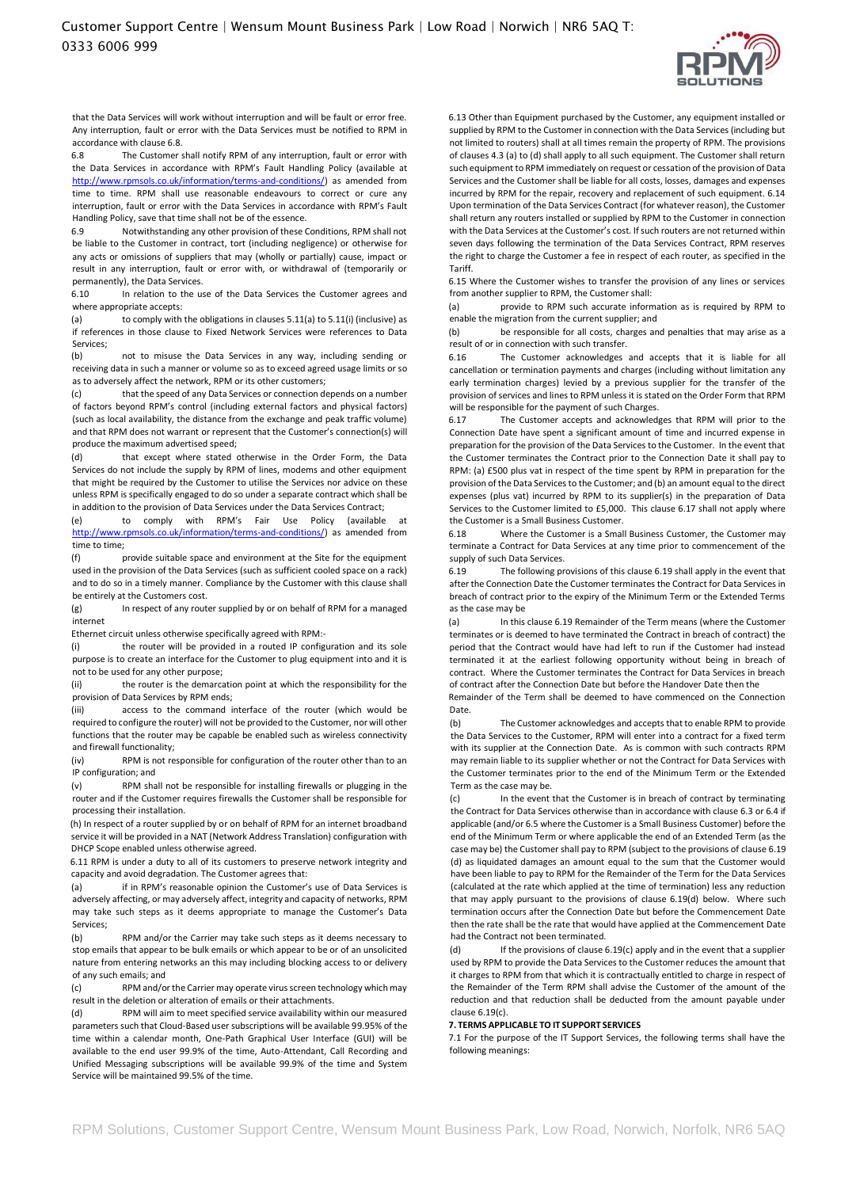

that the Data Services will work without interruption and will be fault or error free. Any interruption, fault or error with the Data Services must be notified to RPM in accordance with clause 6.8.

6.8 The Customer shall notify RPM of any interruption, fault or error with the Data Services in accordance with RPM's Fault Handling Policy (available at [http://www.rpmsols.co.uk/information/terms-and-conditions/\) a](http://www.rpmsols.co.uk/information/terms-and-conditions/)s amended from time to time. RPM shall use reasonable endeavours to correct or cure any interruption, fault or error with the Data Services in accordance with RPM's Fault Handling Policy, save that time shall not be of the essence.

6.9 Notwithstanding any other provision of these Conditions, RPM shall not be liable to the Customer in contract, tort (including negligence) or otherwise for any acts or omissions of suppliers that may (wholly or partially) cause, impact or result in any interruption, fault or error with, or withdrawal of (temporarily or permanently), the Data Services.

6.10 In relation to the use of the Data Services the Customer agrees and where appropriate accepts:

(a) to comply with the obligations in clauses 5.11(a) to 5.11(i) (inclusive) as if references in those clause to Fixed Network Services were references to Data Services;

(b) not to misuse the Data Services in any way, including sending or receiving data in such a manner or volume so as to exceed agreed usage limits or so as to adversely affect the network, RPM or its other customers;

that the speed of any Data Services or connection depends on a number of factors beyond RPM's control (including external factors and physical factors) (such as local availability, the distance from the exchange and peak traffic volume) and that RPM does not warrant or represent that the Customer's connection(s) will produce the maximum advertised speed;

(d) that except where stated otherwise in the Order Form, the Data Services do not include the supply by RPM of lines, modems and other equipment that might be required by the Customer to utilise the Services nor advice on these unless RPM is specifically engaged to do so under a separate contract which shall be in addition to the provision of Data Services under the Data Services Contract;

(e) to comply with RPM's Fair Use Policy (available at [http://www.rpmsols.co.uk/information/terms-and-conditions/\)](http://www.rpmsols.co.uk/information/terms-and-conditions/) as amended from time to time;

(f) provide suitable space and environment at the Site for the equipment used in the provision of the Data Services (such as sufficient cooled space on a rack) and to do so in a timely manner. Compliance by the Customer with this clause shall be entirely at the Customers cost.

(g) In respect of any router supplied by or on behalf of RPM for a managed internet

Ethernet circuit unless otherwise specifically agreed with RPM:-

(i) the router will be provided in a routed IP configuration and its sole purpose is to create an interface for the Customer to plug equipment into and it is not to be used for any other purpose;

(ii) the router is the demarcation point at which the responsibility for the provision of Data Services by RPM ends;

(iii) access to the command interface of the router (which would be required to configure the router) will not be provided to the Customer, nor will other functions that the router may be capable be enabled such as wireless connectivity and firewall functionality;

(iv) RPM is not responsible for configuration of the router other than to an IP configuration; and

(v) RPM shall not be responsible for installing firewalls or plugging in the router and if the Customer requires firewalls the Customer shall be responsible for processing their installation.

(h) In respect of a router supplied by or on behalf of RPM for an internet broadband service it will be provided in a NAT (Network Address Translation) configuration with DHCP Scope enabled unless otherwise agreed.

6.11 RPM is under a duty to all of its customers to preserve network integrity and capacity and avoid degradation. The Customer agrees that:

(a) if in RPM's reasonable opinion the Customer's use of Data Services is adversely affecting, or may adversely affect, integrity and capacity of networks, RPM may take such steps as it deems appropriate to manage the Customer's Data Services;

(b) RPM and/or the Carrier may take such steps as it deems necessary to stop emails that appear to be bulk emails or which appear to be or of an unsolicited nature from entering networks an this may including blocking access to or delivery of any such emails; and

(c) RPM and/orthe Carrier may operate virus screen technology which may result in the deletion or alteration of emails or their attachments.

(d) RPM will aim to meet specified service availability within our measured parameters such that Cloud-Based user subscriptions will be available 99.95% of the time within a calendar month, One-Path Graphical User Interface (GUI) will be available to the end user 99.9% of the time, Auto-Attendant, Call Recording and Unified Messaging subscriptions will be available 99.9% of the time and System Service will be maintained 99.5% of the time.

6.13 Other than Equipment purchased by the Customer, any equipment installed or supplied by RPM to the Customer in connection with the Data Services (including but not limited to routers) shall at all times remain the property of RPM. The provisions of clauses 4.3 (a) to (d) shall apply to all such equipment. The Customer shall return such equipment to RPM immediately on request or cessation of the provision of Data Services and the Customer shall be liable for all costs, losses, damages and expenses incurred by RPM for the repair, recovery and replacement of such equipment. 6.14 Upon termination of the Data Services Contract (for whatever reason), the Customer shall return any routers installed or supplied by RPM to the Customer in connection with the Data Services at the Customer's cost. If such routers are not returned within seven days following the termination of the Data Services Contract, RPM reserves the right to charge the Customer a fee in respect of each router, as specified in the Tariff.

6.15 Where the Customer wishes to transfer the provision of any lines or services from another supplier to RPM, the Customer shall:

(a) provide to RPM such accurate information as is required by RPM to enable the migration from the current supplier; and

(b) be responsible for all costs, charges and penalties that may arise as a result of or in connection with such transfer.

6.16 The Customer acknowledges and accepts that it is liable for all cancellation or termination payments and charges (including without limitation any early termination charges) levied by a previous supplier for the transfer of the provision of services and lines to RPM unless it is stated on the Order Form that RPM will be responsible for the payment of such Charges.

6.17 The Customer accepts and acknowledges that RPM will prior to the Connection Date have spent a significant amount of time and incurred expense in preparation for the provision of the Data Services to the Customer. In the event that the Customer terminates the Contract prior to the Connection Date it shall pay to RPM: (a) £500 plus vat in respect of the time spent by RPM in preparation for the provision of the Data Services to the Customer; and (b) an amount equal to the direct expenses (plus vat) incurred by RPM to its supplier(s) in the preparation of Data Services to the Customer limited to £5,000. This clause 6.17 shall not apply where the Customer is a Small Business Customer.

6.18 Where the Customer is a Small Business Customer, the Customer may terminate a Contract for Data Services at any time prior to commencement of the supply of such Data Services.

6.19 The following provisions of this clause 6.19 shall apply in the event that after the Connection Date the Customer terminates the Contract for Data Services in breach of contract prior to the expiry of the Minimum Term or the Extended Terms as the case may be

(a) In this clause 6.19 Remainder of the Term means (where the Customer terminates or is deemed to have terminated the Contract in breach of contract) the period that the Contract would have had left to run if the Customer had instead terminated it at the earliest following opportunity without being in breach of contract. Where the Customer terminates the Contract for Data Services in breach of contract after the Connection Date but before the Handover Date then the

Remainder of the Term shall be deemed to have commenced on the Connection Date.

(b) The Customer acknowledges and accepts that to enable RPM to provide the Data Services to the Customer, RPM will enter into a contract for a fixed term with its supplier at the Connection Date. As is common with such contracts RPM may remain liable to its supplier whether or not the Contract for Data Services with the Customer terminates prior to the end of the Minimum Term or the Extended Term as the case may be.

(c) In the event that the Customer is in breach of contract by terminating the Contract for Data Services otherwise than in accordance with clause 6.3 or 6.4 if applicable (and/or 6.5 where the Customer is a Small Business Customer) before the end of the Minimum Term or where applicable the end of an Extended Term (as the case may be) the Customer shall pay to RPM (subject to the provisions of clause 6.19 (d) as liquidated damages an amount equal to the sum that the Customer would have been liable to pay to RPM for the Remainder of the Term for the Data Services (calculated at the rate which applied at the time of termination) less any reduction that may apply pursuant to the provisions of clause 6.19(d) below. Where such termination occurs after the Connection Date but before the Commencement Date then the rate shall be the rate that would have applied at the Commencement Date had the Contract not been terminated.

(d) If the provisions of clause 6.19(c) apply and in the event that a supplier used by RPM to provide the Data Services to the Customer reduces the amount that it charges to RPM from that which it is contractually entitled to charge in respect of the Remainder of the Term RPM shall advise the Customer of the amount of the reduction and that reduction shall be deducted from the amount payable under clause 6.19(c).

**7. TERMS APPLICABLE TO IT SUPPORT SERVICES** 

7.1 For the purpose of the IT Support Services, the following terms shall have the following meanings: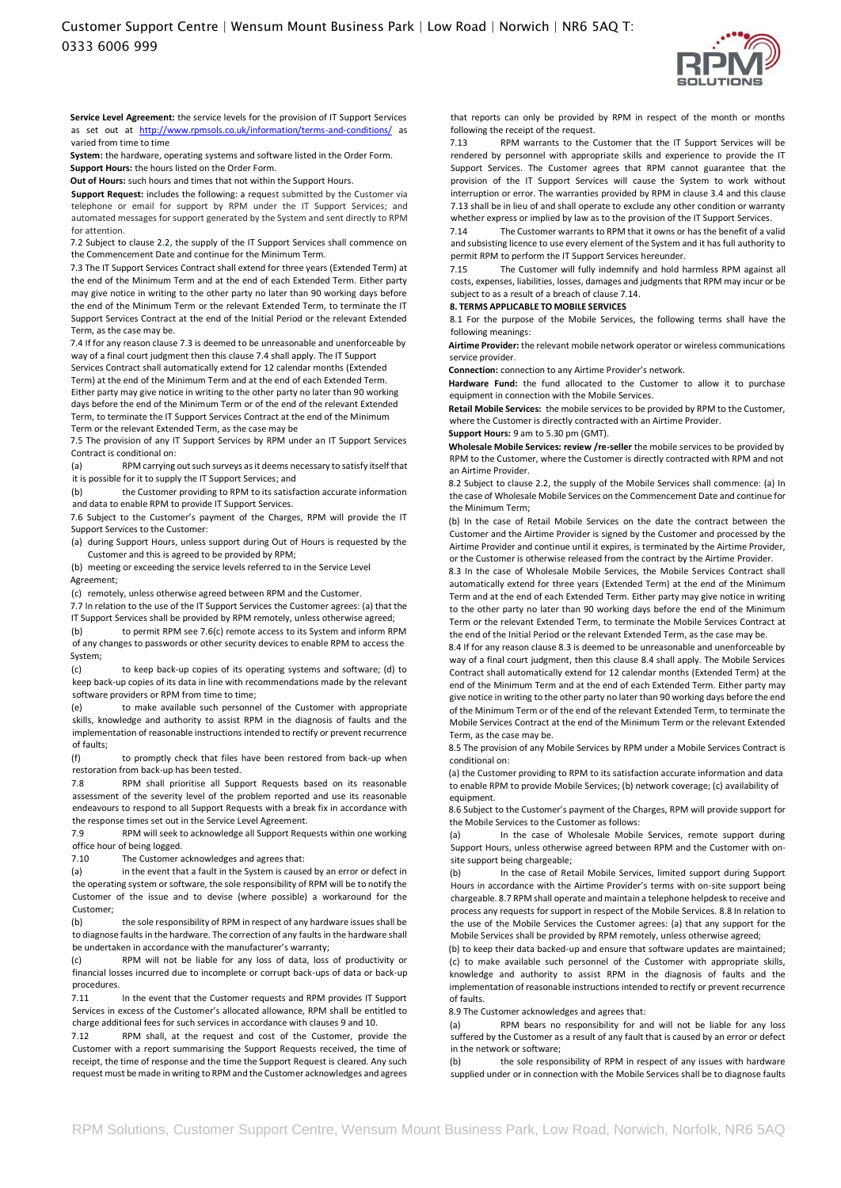

**Service Level Agreement:** the service levels for the provision of IT Support Services as set out at <http://www.rpmsols.co.uk/information/terms-and-conditions/> [a](http://www.rpmsols.co.uk/information/terms-and-conditions/)s varied from time to time

**System:** the hardware, operating systems and software listed in the Order Form. **Support Hours:** the hours listed on the Order Form.

**Out of Hours:** such hours and times that not within the Support Hours.

**Support Request:** includes the following: a request submitted by the Customer via telephone or email for support by RPM under the IT Support Services; and automated messages for support generated by the System and sent directly to RPM for attention.

7.2 Subject to clause 2.2**,** the supply of the IT Support Services shall commence on the Commencement Date and continue for the Minimum Term.

7.3 The IT Support Services Contract shall extend for three years (Extended Term) at the end of the Minimum Term and at the end of each Extended Term. Either party may give notice in writing to the other party no later than 90 working days before the end of the Minimum Term or the relevant Extended Term, to terminate the IT Support Services Contract at the end of the Initial Period or the relevant Extended Term, as the case may be.

7.4 If for any reason clause 7.3 is deemed to be unreasonable and unenforceable by way of a final court judgment then this clause 7.4 shall apply. The IT Support

Services Contract shall automatically extend for 12 calendar months (Extended Term) at the end of the Minimum Term and at the end of each Extended Term. Either party may give notice in writing to the other party no later than 90 working days before the end of the Minimum Term or of the end of the relevant Extended Term, to terminate the IT Support Services Contract at the end of the Minimum Term or the relevant Extended Term, as the case may be

7.5 The provision of any IT Support Services by RPM under an IT Support Services Contract is conditional on:

(a) RPM carrying out such surveys as it deems necessary to satisfy itself that it is possible for it to supply the IT Support Services; and

(b) the Customer providing to RPM to its satisfaction accurate information and data to enable RPM to provide IT Support Services.

7.6 Subject to the Customer's payment of the Charges, RPM will provide the IT Support Services to the Customer:

(a) during Support Hours, unless support during Out of Hours is requested by the Customer and this is agreed to be provided by RPM;

(b) meeting or exceeding the service levels referred to in the Service Level Agreement;

(c) remotely, unless otherwise agreed between RPM and the Customer.

7.7 In relation to the use of the IT Support Services the Customer agrees: (a) that the

IT Support Services shall be provided by RPM remotely, unless otherwise agreed; (b) to permit RPM see 7.6(c) remote access to its System and inform RPM of any changes to passwords or other security devices to enable RPM to access the System;

(c) to keep back-up copies of its operating systems and software; (d) to keep back-up copies of its data in line with recommendations made by the relevant software providers or RPM from time to time;

(e) to make available such personnel of the Customer with appropriate skills, knowledge and authority to assist RPM in the diagnosis of faults and the implementation of reasonable instructions intended to rectify or prevent recurrence of faults;

(f) to promptly check that files have been restored from back-up when restoration from back-up has been tested.

7.8 RPM shall prioritise all Support Requests based on its reasonable assessment of the severity level of the problem reported and use its reasonable endeavours to respond to all Support Requests with a break fix in accordance with the response times set out in the Service Level Agreement.

7.9 RPM will seek to acknowledge all Support Requests within one working office hour of being logged.

7.10 The Customer acknowledges and agrees that:

(a) in the event that a fault in the System is caused by an error or defect in the operating system or software, the sole responsibility of RPM will be to notify the Customer of the issue and to devise (where possible) a workaround for the Customer;

(b) the sole responsibility of RPM in respect of any hardware issues shall be to diagnose faults in the hardware. The correction of any faults in the hardware shall be undertaken in accordance with the manufacturer's warranty;

(c) RPM will not be liable for any loss of data, loss of productivity or financial losses incurred due to incomplete or corrupt back-ups of data or back-up procedures.

7.11 In the event that the Customer requests and RPM provides IT Support Services in excess of the Customer's allocated allowance, RPM shall be entitled to charge additional fees for such services in accordance with clauses 9 and 10.

7.12 RPM shall, at the request and cost of the Customer, provide the Customer with a report summarising the Support Requests received, the time of receipt, the time of response and the time the Support Request is cleared. Any such request must be made in writing to RPM and the Customer acknowledges and agrees that reports can only be provided by RPM in respect of the month or months following the receipt of the request.

7.13 RPM warrants to the Customer that the IT Support Services will be rendered by personnel with appropriate skills and experience to provide the IT Support Services. The Customer agrees that RPM cannot guarantee that the provision of the IT Support Services will cause the System to work without interruption or error. The warranties provided by RPM in clause 3.4 and this clause 7.13 shall be in lieu of and shall operate to exclude any other condition or warranty whether express or implied by law as to the provision of the IT Support Services.

7.14 The Customer warrants to RPM that it owns or has the benefit of a valid and subsisting licence to use every element of the System and it has full authority to permit RPM to perform the IT Support Services hereunder.

7.15 The Customer will fully indemnify and hold harmless RPM against all costs, expenses, liabilities, losses, damages and judgments that RPM may incur or be subject to as a result of a breach of clause 7.14.

#### **8. TERMS APPLICABLE TO MOBILE SERVICES**

8.1 For the purpose of the Mobile Services, the following terms shall have the following meanings:

**Airtime Provider:** the relevant mobile network operator or wireless communications service provider.

**Connection:** connection to any Airtime Provider's network.

**Hardware Fund:** the fund allocated to the Customer to allow it to purchase equipment in connection with the Mobile Services.

**Retail Mobile Services:** the mobile services to be provided by RPM to the Customer, where the Customer is directly contracted with an Airtime Provider.

**Support Hours:** 9 am to 5.30 pm (GMT). **Wholesale Mobile Services: review /re-seller** the mobile services to be provided by RPM to the Customer, where the Customer is directly contracted with RPM and not an Airtime Provider.

8.2 Subject to clause 2.2, the supply of the Mobile Services shall commence: (a) In the case of Wholesale Mobile Services on the Commencement Date and continue for the Minimum Term;

(b) In the case of Retail Mobile Services on the date the contract between the Customer and the Airtime Provider is signed by the Customer and processed by the Airtime Provider and continue until it expires, is terminated by the Airtime Provider, or the Customer is otherwise released from the contract by the Airtime Provider.

8.3 In the case of Wholesale Mobile Services, the Mobile Services Contract shall automatically extend for three years (Extended Term) at the end of the Minimum Term and at the end of each Extended Term. Either party may give notice in writing to the other party no later than 90 working days before the end of the Minimum Term or the relevant Extended Term, to terminate the Mobile Services Contract at the end of the Initial Period or the relevant Extended Term, as the case may be.

8.4 If for any reason clause 8.3 is deemed to be unreasonable and unenforceable by way of a final court judgment, then this clause 8.4 shall apply. The Mobile Services Contract shall automatically extend for 12 calendar months (Extended Term) at the end of the Minimum Term and at the end of each Extended Term. Either party may give notice in writing to the other party no later than 90 working days before the end of the Minimum Term or of the end of the relevant Extended Term, to terminate the Mobile Services Contract at the end of the Minimum Term or the relevant Extended Term, as the case may be.

8.5 The provision of any Mobile Services by RPM under a Mobile Services Contract is conditional on:

(a) the Customer providing to RPM to its satisfaction accurate information and data to enable RPM to provide Mobile Services; (b) network coverage; (c) availability of equipment.

8.6 Subject to the Customer's payment of the Charges, RPM will provide support for the Mobile Services to the Customer as follows:

(a) In the case of Wholesale Mobile Services, remote support during Support Hours, unless otherwise agreed between RPM and the Customer with onsite support being chargeable;

(b) In the case of Retail Mobile Services, limited support during Support Hours in accordance with the Airtime Provider's terms with on-site support being chargeable. 8.7 RPM shall operate and maintain a telephone helpdesk to receive and process any requests for support in respect of the Mobile Services. 8.8 In relation to the use of the Mobile Services the Customer agrees: (a) that any support for the Mobile Services shall be provided by RPM remotely, unless otherwise agreed;

(b) to keep their data backed-up and ensure that software updates are maintained; (c) to make available such personnel of the Customer with appropriate skills, knowledge and authority to assist RPM in the diagnosis of faults and the implementation of reasonable instructions intended to rectify or prevent recurrence of faults.

8.9 The Customer acknowledges and agrees that:

(a) RPM bears no responsibility for and will not be liable for any loss suffered by the Customer as a result of any fault that is caused by an error or defect in the network or software;

(b) the sole responsibility of RPM in respect of any issues with hardware supplied under or in connection with the Mobile Services shall be to diagnose faults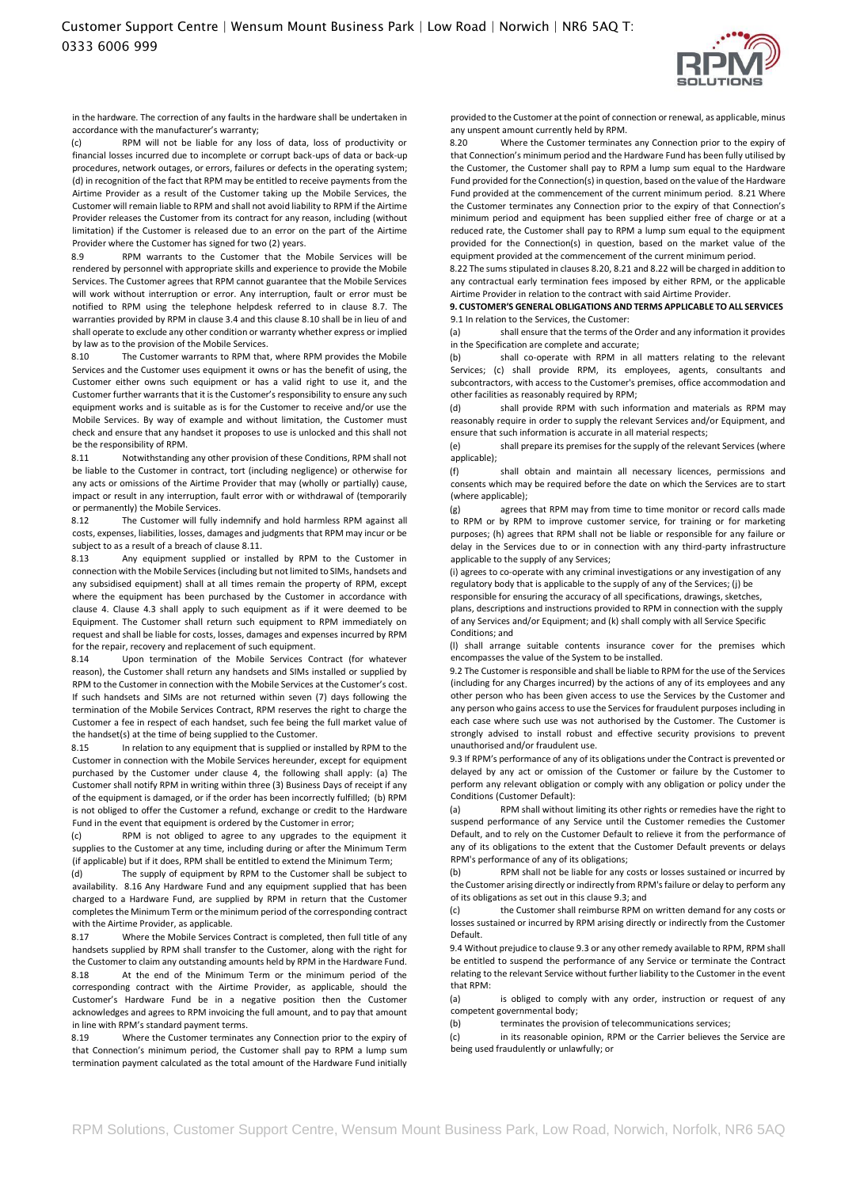

in the hardware. The correction of any faults in the hardware shall be undertaken in accordance with the manufacturer's warranty;

(c) RPM will not be liable for any loss of data, loss of productivity or financial losses incurred due to incomplete or corrupt back-ups of data or back-up procedures, network outages, or errors, failures or defects in the operating system; (d) in recognition of the fact that RPM may be entitled to receive payments from the Airtime Provider as a result of the Customer taking up the Mobile Services, the Customer will remain liable to RPM and shall not avoid liability to RPM if the Airtime Provider releases the Customer from its contract for any reason, including (without limitation) if the Customer is released due to an error on the part of the Airtime Provider where the Customer has signed for two (2) years.

RPM warrants to the Customer that the Mobile Services will be rendered by personnel with appropriate skills and experience to provide the Mobile Services. The Customer agrees that RPM cannot guarantee that the Mobile Services will work without interruption or error. Any interruption, fault or error must be notified to RPM using the telephone helpdesk referred to in clause 8.7. The warranties provided by RPM in clause 3.4 and this clause 8.10 shall be in lieu of and shall operate to exclude any other condition or warranty whether express or implied by law as to the provision of the Mobile Services.

8.10 The Customer warrants to RPM that, where RPM provides the Mobile Services and the Customer uses equipment it owns or has the benefit of using, the Customer either owns such equipment or has a valid right to use it, and the Customer further warrants that it is the Customer's responsibility to ensure any such equipment works and is suitable as is for the Customer to receive and/or use the Mobile Services. By way of example and without limitation, the Customer must check and ensure that any handset it proposes to use is unlocked and this shall not be the responsibility of RPM.

8.11 Notwithstanding any other provision of these Conditions, RPM shall not be liable to the Customer in contract, tort (including negligence) or otherwise for any acts or omissions of the Airtime Provider that may (wholly or partially) cause, impact or result in any interruption, fault error with or withdrawal of (temporarily or permanently) the Mobile Services.

8.12 The Customer will fully indemnify and hold harmless RPM against all costs, expenses, liabilities, losses, damages and judgments that RPM may incur or be subject to as a result of a breach of clause 8.11

8.13 Any equipment supplied or installed by RPM to the Customer in connection with the Mobile Services (including but not limited to SIMs, handsets and any subsidised equipment) shall at all times remain the property of RPM, except where the equipment has been purchased by the Customer in accordance with clause 4. Clause 4.3 shall apply to such equipment as if it were deemed to be Equipment. The Customer shall return such equipment to RPM immediately on request and shall be liable for costs, losses, damages and expenses incurred by RPM for the repair, recovery and replacement of such equipment.

8.14 Upon termination of the Mobile Services Contract (for whatever reason), the Customer shall return any handsets and SIMs installed or supplied by RPM to the Customer in connection with the Mobile Services at the Customer's cost. If such handsets and SIMs are not returned within seven (7) days following the termination of the Mobile Services Contract, RPM reserves the right to charge the Customer a fee in respect of each handset, such fee being the full market value of the handset(s) at the time of being supplied to the Customer.

8.15 In relation to any equipment that is supplied or installed by RPM to the Customer in connection with the Mobile Services hereunder, except for equipment purchased by the Customer under clause 4, the following shall apply: (a) The Customer shall notify RPM in writing within three (3) Business Days of receipt if any of the equipment is damaged, or if the order has been incorrectly fulfilled; (b) RPM is not obliged to offer the Customer a refund, exchange or credit to the Hardware Fund in the event that equipment is ordered by the Customer in error;

(c) RPM is not obliged to agree to any upgrades to the equipment it supplies to the Customer at any time, including during or after the Minimum Term (if applicable) but if it does, RPM shall be entitled to extend the Minimum Term;

(d) The supply of equipment by RPM to the Customer shall be subject to availability. 8.16 Any Hardware Fund and any equipment supplied that has been charged to a Hardware Fund, are supplied by RPM in return that the Customer completes the Minimum Term or the minimum period of the corresponding contract with the Airtime Provider, as applicable.

8.17 Where the Mobile Services Contract is completed, then full title of any handsets supplied by RPM shall transfer to the Customer, along with the right for the Customer to claim any outstanding amounts held by RPM in the Hardware Fund. 8.18 At the end of the Minimum Term or the minimum period of the corresponding contract with the Airtime Provider, as applicable, should the Customer's Hardware Fund be in a negative position then the Customer acknowledges and agrees to RPM invoicing the full amount, and to pay that amount in line with RPM's standard payment terms.

8.19 Where the Customer terminates any Connection prior to the expiry of that Connection's minimum period, the Customer shall pay to RPM a lump sum termination payment calculated as the total amount of the Hardware Fund initially

provided to the Customer at the point of connection or renewal, as applicable, minus any unspent amount currently held by RPM.

8.20 Where the Customer terminates any Connection prior to the expiry of that Connection's minimum period and the Hardware Fund has been fully utilised by the Customer, the Customer shall pay to RPM a lump sum equal to the Hardware Fund provided for the Connection(s) in question, based on the value of the Hardware Fund provided at the commencement of the current minimum period. 8.21 Where the Customer terminates any Connection prior to the expiry of that Connection's minimum period and equipment has been supplied either free of charge or at a reduced rate, the Customer shall pay to RPM a lump sum equal to the equipment provided for the Connection(s) in question, based on the market value of the equipment provided at the commencement of the current minimum period.

8.22 The sums stipulated in clauses 8.20, 8.21 and 8.22 will be charged in addition to any contractual early termination fees imposed by either RPM, or the applicable Airtime Provider in relation to the contract with said Airtime Provider.

#### **9. CUSTOMER'S GENERAL OBLIGATIONS AND TERMS APPLICABLE TO ALL SERVICES**  9.1 In relation to the Services, the Customer:

(a) shall ensure that the terms of the Order and any information it provides in the Specification are complete and accurate;

(b) shall co-operate with RPM in all matters relating to the relevant Services; (c) shall provide RPM, its employees, agents, consultants and subcontractors, with access to the Customer's premises, office accommodation and other facilities as reasonably required by RPM;

(d) shall provide RPM with such information and materials as RPM may reasonably require in order to supply the relevant Services and/or Equipment, and ensure that such information is accurate in all material respects;

(e) shall prepare its premises for the supply of the relevant Services (where applicable);

(f) shall obtain and maintain all necessary licences, permissions and consents which may be required before the date on which the Services are to start (where applicable);

(g) agrees that RPM may from time to time monitor or record calls made to RPM or by RPM to improve customer service, for training or for marketing purposes; (h) agrees that RPM shall not be liable or responsible for any failure or delay in the Services due to or in connection with any third-party infrastructure applicable to the supply of any Services;

(i) agrees to co-operate with any criminal investigations or any investigation of any regulatory body that is applicable to the supply of any of the Services; (j) be

responsible for ensuring the accuracy of all specifications, drawings, sketches, plans, descriptions and instructions provided to RPM in connection with the supply of any Services and/or Equipment; and (k) shall comply with all Service Specific Conditions; and

(l) shall arrange suitable contents insurance cover for the premises which encompasses the value of the System to be installed.

9.2 The Customer is responsible and shall be liable to RPM for the use of the Services (including for any Charges incurred) by the actions of any of its employees and any other person who has been given access to use the Services by the Customer and any person who gains access to use the Services for fraudulent purposes including in each case where such use was not authorised by the Customer. The Customer is strongly advised to install robust and effective security provisions to prevent unauthorised and/or fraudulent use.

9.3 If RPM's performance of any of its obligations under the Contract is prevented or delayed by any act or omission of the Customer or failure by the Customer to perform any relevant obligation or comply with any obligation or policy under the Conditions (Customer Default):

(a) RPM shall without limiting its other rights or remedies have the right to suspend performance of any Service until the Customer remedies the Customer Default, and to rely on the Customer Default to relieve it from the performance of any of its obligations to the extent that the Customer Default prevents or delays RPM's performance of any of its obligations;

(b) RPM shall not be liable for any costs or losses sustained or incurred by the Customer arising directly or indirectly from RPM's failure or delay to perform any of its obligations as set out in this clause 9.3; and

(c) the Customer shall reimburse RPM on written demand for any costs or losses sustained or incurred by RPM arising directly or indirectly from the Customer Default.

9.4 Without prejudice to clause 9.3 or any other remedy available to RPM, RPM shall be entitled to suspend the performance of any Service or terminate the Contract relating to the relevant Service without further liability to the Customer in the event that RPM:

(a) is obliged to comply with any order, instruction or request of any competent governmental body;

(b) terminates the provision of telecommunications services;

(c) in its reasonable opinion, RPM or the Carrier believes the Service are being used fraudulently or unlawfully; or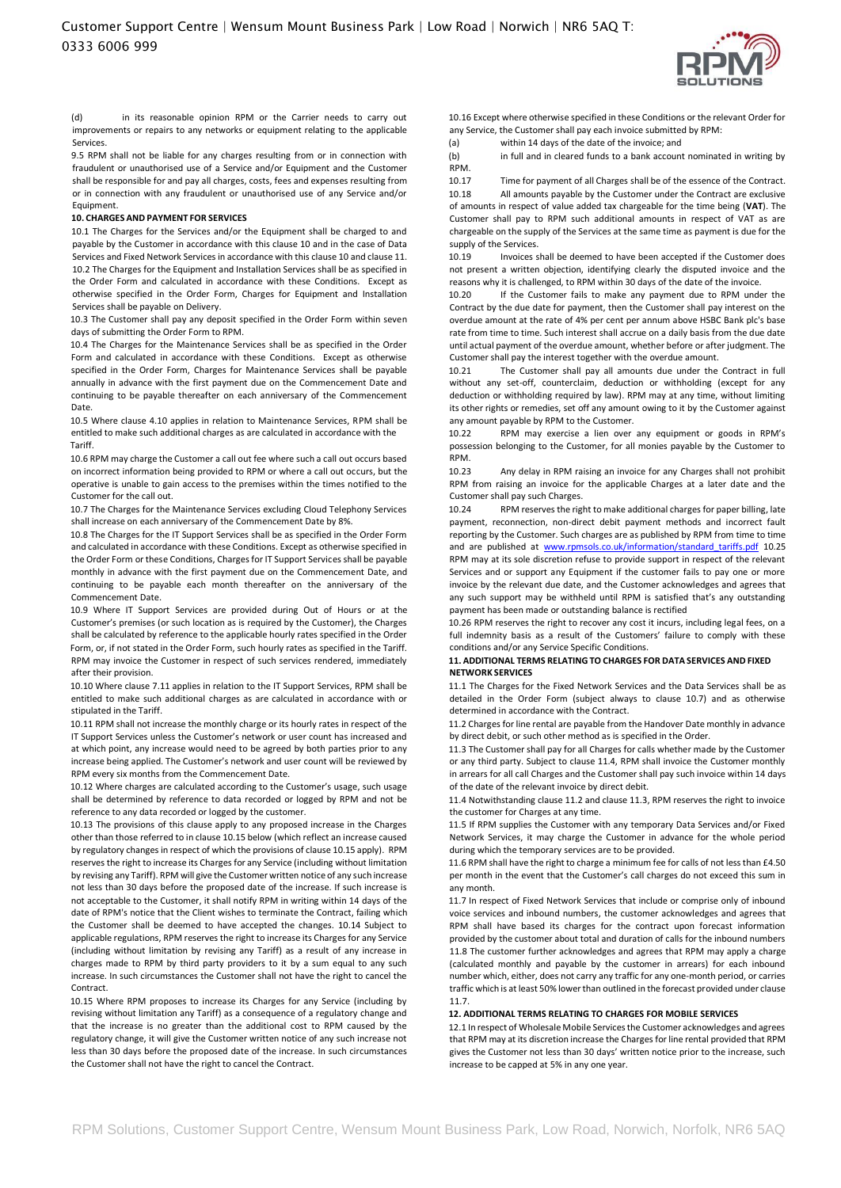

(d) in its reasonable opinion RPM or the Carrier needs to carry out improvements or repairs to any networks or equipment relating to the applicable Services.

9.5 RPM shall not be liable for any charges resulting from or in connection with fraudulent or unauthorised use of a Service and/or Equipment and the Customer shall be responsible for and pay all charges, costs, fees and expenses resulting from or in connection with any fraudulent or unauthorised use of any Service and/or Equipment.

#### **10. CHARGES AND PAYMENT FOR SERVICES**

10.1 The Charges for the Services and/or the Equipment shall be charged to and payable by the Customer in accordance with this clause 10 and in the case of Data Services and Fixed Network Services in accordance with this clause 10 and clause 11. 10.2 The Charges for the Equipment and Installation Services shall be as specified in the Order Form and calculated in accordance with these Conditions. Except as otherwise specified in the Order Form, Charges for Equipment and Installation Services shall be payable on Delivery.

10.3 The Customer shall pay any deposit specified in the Order Form within seven days of submitting the Order Form to RPM.

10.4 The Charges for the Maintenance Services shall be as specified in the Order Form and calculated in accordance with these Conditions. Except as otherwise specified in the Order Form, Charges for Maintenance Services shall be payable annually in advance with the first payment due on the Commencement Date and continuing to be payable thereafter on each anniversary of the Commencement Date.

10.5 Where clause 4.10 applies in relation to Maintenance Services, RPM shall be entitled to make such additional charges as are calculated in accordance with the Tariff.

10.6 RPM may charge the Customer a call out fee where such a call out occurs based on incorrect information being provided to RPM or where a call out occurs, but the operative is unable to gain access to the premises within the times notified to the Customer for the call out.

10.7 The Charges for the Maintenance Services excluding Cloud Telephony Services shall increase on each anniversary of the Commencement Date by 8%.

10.8 The Charges for the IT Support Services shall be as specified in the Order Form and calculated in accordance with these Conditions. Except as otherwise specified in the Order Form or these Conditions, Charges for IT Support Services shall be payable monthly in advance with the first payment due on the Commencement Date, and continuing to be payable each month thereafter on the anniversary of the Commencement Date.

10.9 Where IT Support Services are provided during Out of Hours or at the Customer's premises (or such location as is required by the Customer), the Charges shall be calculated by reference to the applicable hourly rates specified in the Order Form, or, if not stated in the Order Form, such hourly rates as specified in the Tariff. RPM may invoice the Customer in respect of such services rendered, immediately after their provision.

10.10 Where clause 7.11 applies in relation to the IT Support Services, RPM shall be entitled to make such additional charges as are calculated in accordance with or stipulated in the Tariff.

10.11 RPM shall not increase the monthly charge or its hourly rates in respect of the IT Support Services unless the Customer's network or user count has increased and at which point, any increase would need to be agreed by both parties prior to any increase being applied. The Customer's network and user count will be reviewed by RPM every six months from the Commencement Date.

10.12 Where charges are calculated according to the Customer's usage, such usage shall be determined by reference to data recorded or logged by RPM and not be reference to any data recorded or logged by the customer.

10.13 The provisions of this clause apply to any proposed increase in the Charges other than those referred to in clause 10.15 below (which reflect an increase caused by regulatory changes in respect of which the provisions of clause 10.15 apply). RPM reserves the right to increase its Charges for any Service (including without limitation by revising any Tariff). RPM will give the Customer written notice of any such increase not less than 30 days before the proposed date of the increase. If such increase is not acceptable to the Customer, it shall notify RPM in writing within 14 days of the date of RPM's notice that the Client wishes to terminate the Contract, failing which the Customer shall be deemed to have accepted the changes. 10.14 Subject to applicable regulations, RPM reserves the right to increase its Charges for any Service (including without limitation by revising any Tariff) as a result of any increase in charges made to RPM by third party providers to it by a sum equal to any such increase. In such circumstances the Customer shall not have the right to cancel the Contract.

10.15 Where RPM proposes to increase its Charges for any Service (including by revising without limitation any Tariff) as a consequence of a regulatory change and that the increase is no greater than the additional cost to RPM caused by the regulatory change, it will give the Customer written notice of any such increase not less than 30 days before the proposed date of the increase. In such circumstances the Customer shall not have the right to cancel the Contract.

10.16 Except where otherwise specified in these Conditions or the relevant Order for any Service, the Customer shall pay each invoice submitted by RPM:

(a) within 14 days of the date of the invoice; and

(b) in full and in cleared funds to a bank account nominated in writing by RPM.

10.17 Time for payment of all Charges shall be of the essence of the Contract. 10.18 All amounts payable by the Customer under the Contract are exclusive of amounts in respect of value added tax chargeable for the time being (**VAT**). The Customer shall pay to RPM such additional amounts in respect of VAT as are chargeable on the supply of the Services at the same time as payment is due for the supply of the Services.

10.19 Invoices shall be deemed to have been accepted if the Customer does not present a written objection, identifying clearly the disputed invoice and the reasons why it is challenged, to RPM within 30 days of the date of the invoice.

10.20 If the Customer fails to make any payment due to RPM under the Contract by the due date for payment, then the Customer shall pay interest on the overdue amount at the rate of 4% per cent per annum above HSBC Bank plc's base rate from time to time. Such interest shall accrue on a daily basis from the due date until actual payment of the overdue amount, whether before or after judgment. The Customer shall pay the interest together with the overdue amount.

10.21 The Customer shall pay all amounts due under the Contract in full without any set-off, counterclaim, deduction or withholding (except for any deduction or withholding required by law). RPM may at any time, without limiting its other rights or remedies, set off any amount owing to it by the Customer against any amount payable by RPM to the Customer.

10.22 RPM may exercise a lien over any equipment or goods in RPM's possession belonging to the Customer, for all monies payable by the Customer to RPM.

10.23 Any delay in RPM raising an invoice for any Charges shall not prohibit RPM from raising an invoice for the applicable Charges at a later date and the Customer shall pay such Charges.

10.24 RPM reserves the right to make additional charges for paper billing, late payment, reconnection, non-direct debit payment methods and incorrect fault reporting by the Customer. Such charges are as published by RPM from time to time and are published a[t](http://www.rpmsols.co.uk/information/standard_tariffs.pdf) [www.rpmsols.co.uk/information/standard\\_tariffs.pdf](http://www.rpmsols.co.uk/information/standard_tariffs.pdf) 10.25 RPM may at its sole discretion refuse to provide support in respect of the relevant Services and or support any Equipment if the customer fails to pay one or more invoice by the relevant due date, and the Customer acknowledges and agrees that any such support may be withheld until RPM is satisfied that's any outstanding payment has been made or outstanding balance is rectified

10.26 RPM reserves the right to recover any cost it incurs, including legal fees, on a full indemnity basis as a result of the Customers' failure to comply with these conditions and/or any Service Specific Conditions.

## **11. ADDITIONAL TERMS RELATING TO CHARGES FOR DATA SERVICES AND FIXED NETWORK SERVICES**

11.1 The Charges for the Fixed Network Services and the Data Services shall be as detailed in the Order Form (subject always to clause 10.7) and as otherwise determined in accordance with the Contract.

11.2 Charges for line rental are payable from the Handover Date monthly in advance by direct debit, or such other method as is specified in the Order.

11.3 The Customer shall pay for all Charges for calls whether made by the Customer or any third party. Subject to clause 11.4, RPM shall invoice the Customer monthly in arrears for all call Charges and the Customer shall pay such invoice within 14 days of the date of the relevant invoice by direct debit.

11.4 Notwithstanding clause 11.2 and clause 11.3, RPM reserves the right to invoice the customer for Charges at any time.

11.5 If RPM supplies the Customer with any temporary Data Services and/or Fixed Network Services, it may charge the Customer in advance for the whole period during which the temporary services are to be provided.

11.6 RPM shall have the right to charge a minimum fee for calls of not less than £4.50 per month in the event that the Customer's call charges do not exceed this sum in any month.

11.7 In respect of Fixed Network Services that include or comprise only of inbound voice services and inbound numbers, the customer acknowledges and agrees that RPM shall have based its charges for the contract upon forecast information provided by the customer about total and duration of calls for the inbound numbers 11.8 The customer further acknowledges and agrees that RPM may apply a charge (calculated monthly and payable by the customer in arrears) for each inbound number which, either, does not carry any traffic for any one-month period, or carries traffic which is at least 50% lower than outlined in the forecast provided under clause 11.7.

## **12. ADDITIONAL TERMS RELATING TO CHARGES FOR MOBILE SERVICES**

12.1 In respect of Wholesale Mobile Services the Customer acknowledges and agrees that RPM may at its discretion increase the Charges for line rental provided that RPM gives the Customer not less than 30 days' written notice prior to the increase, such increase to be capped at 5% in any one year.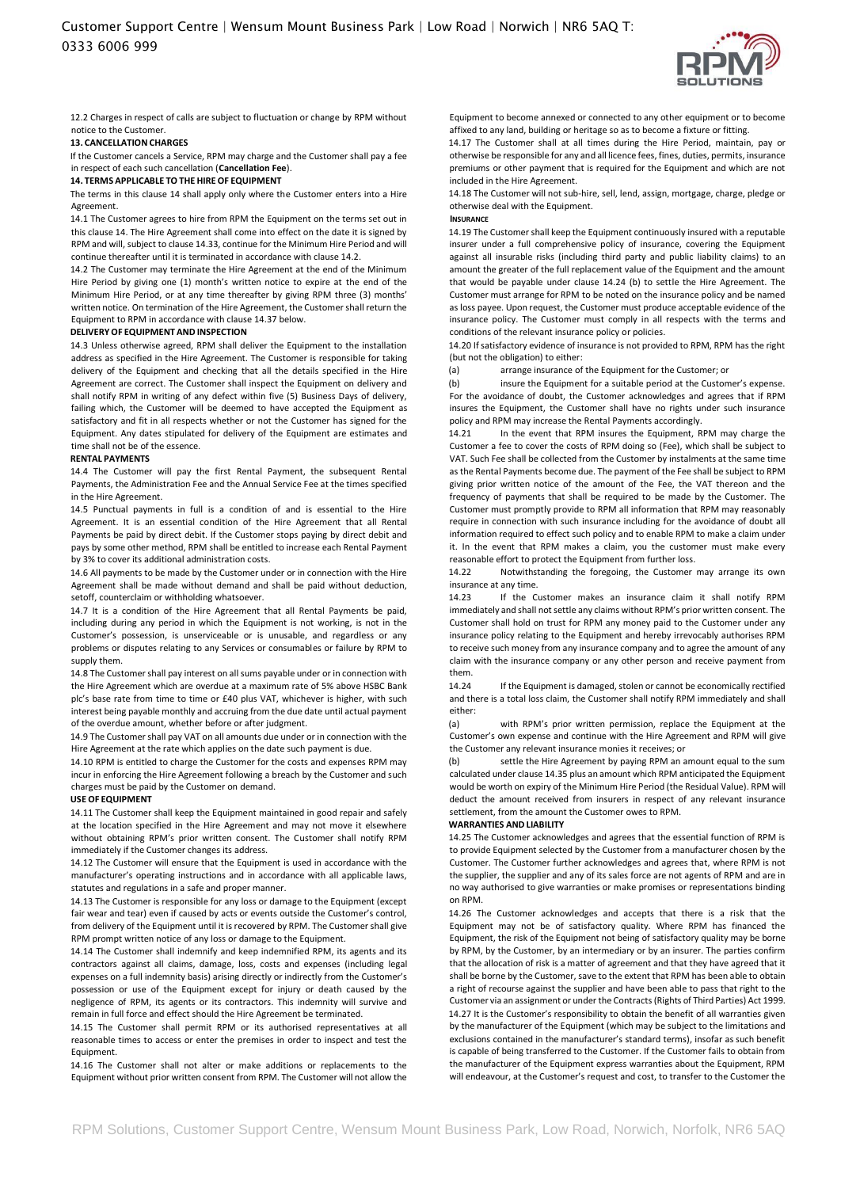

12.2 Charges in respect of calls are subject to fluctuation or change by RPM without notice to the Customer.

#### **13. CANCELLATION CHARGES**

If the Customer cancels a Service, RPM may charge and the Customer shall pay a fee in respect of each such cancellation (**Cancellation Fee**).

#### **14. TERMS APPLICABLE TO THE HIRE OF EQUIPMENT**

The terms in this clause 14 shall apply only where the Customer enters into a Hire Agreement.

14.1 The Customer agrees to hire from RPM the Equipment on the terms set out in this clause 14. The Hire Agreement shall come into effect on the date it is signed by RPM and will, subject to clause 14.33, continue for the Minimum Hire Period and will continue thereafter until it is terminated in accordance with clause 14.2.

14.2 The Customer may terminate the Hire Agreement at the end of the Minimum Hire Period by giving one (1) month's written notice to expire at the end of the Minimum Hire Period, or at any time thereafter by giving RPM three (3) months' written notice. On termination of the Hire Agreement, the Customer shall return the Equipment to RPM in accordance with clause 14.37 below.

## **DELIVERYOF EQUIPMENT AND INSPECTION**

14.3 Unless otherwise agreed, RPM shall deliver the Equipment to the installation address as specified in the Hire Agreement. The Customer is responsible for taking delivery of the Equipment and checking that all the details specified in the Hire Agreement are correct. The Customer shall inspect the Equipment on delivery and shall notify RPM in writing of any defect within five (5) Business Days of delivery, failing which, the Customer will be deemed to have accepted the Equipment as satisfactory and fit in all respects whether or not the Customer has signed for the Equipment. Any dates stipulated for delivery of the Equipment are estimates and time shall not be of the essence.

#### **RENTAL PAYMENTS**

14.4 The Customer will pay the first Rental Payment, the subsequent Rental Payments, the Administration Fee and the Annual Service Fee at the times specified in the Hire Agreement.

14.5 Punctual payments in full is a condition of and is essential to the Hire Agreement. It is an essential condition of the Hire Agreement that all Rental Payments be paid by direct debit. If the Customer stops paying by direct debit and pays by some other method, RPM shall be entitled to increase each Rental Payment by 3% to cover its additional administration costs.

14.6 All payments to be made by the Customer under or in connection with the Hire Agreement shall be made without demand and shall be paid without deduction, setoff, counterclaim or withholding whatsoever.

14.7 It is a condition of the Hire Agreement that all Rental Payments be paid, including during any period in which the Equipment is not working, is not in the Customer's possession, is unserviceable or is unusable, and regardless or any problems or disputes relating to any Services or consumables or failure by RPM to supply them.

14.8 The Customer shall pay interest on all sums payable under or in connection with the Hire Agreement which are overdue at a maximum rate of 5% above HSBC Bank plc's base rate from time to time or £40 plus VAT, whichever is higher, with such interest being payable monthly and accruing from the due date until actual payment of the overdue amount, whether before or after judgment.

14.9 The Customer shall pay VAT on all amounts due under or in connection with the Hire Agreement at the rate which applies on the date such payment is due.

14.10 RPM is entitled to charge the Customer for the costs and expenses RPM may incur in enforcing the Hire Agreement following a breach by the Customer and such charges must be paid by the Customer on demand.

### **USE OF EQUIPMENT**

14.11 The Customer shall keep the Equipment maintained in good repair and safely at the location specified in the Hire Agreement and may not move it elsewhere without obtaining RPM's prior written consent. The Customer shall notify RPM immediately if the Customer changes its address.

14.12 The Customer will ensure that the Equipment is used in accordance with the manufacturer's operating instructions and in accordance with all applicable laws, statutes and regulations in a safe and proper manner.

14.13 The Customer is responsible for any loss or damage to the Equipment (except fair wear and tear) even if caused by acts or events outside the Customer's control, from delivery of the Equipment until it is recovered by RPM. The Customer shall give RPM prompt written notice of any loss or damage to the Equipment.

14.14 The Customer shall indemnify and keep indemnified RPM, its agents and its contractors against all claims, damage, loss, costs and expenses (including legal expenses on a full indemnity basis) arising directly or indirectly from the Customer's possession or use of the Equipment except for injury or death caused by the negligence of RPM, its agents or its contractors. This indemnity will survive and remain in full force and effect should the Hire Agreement be terminated.

14.15 The Customer shall permit RPM or its authorised representatives at all reasonable times to access or enter the premises in order to inspect and test the Equipment.

14.16 The Customer shall not alter or make additions or replacements to the Equipment without prior written consent from RPM. The Customer will not allow the

Equipment to become annexed or connected to any other equipment or to become affixed to any land, building or heritage so as to become a fixture or fitting.

14.17 The Customer shall at all times during the Hire Period, maintain, pay or otherwise be responsible for any and all licence fees, fines, duties, permits, insurance premiums or other payment that is required for the Equipment and which are not included in the Hire Agreement.

14.18 The Customer will not sub-hire, sell, lend, assign, mortgage, charge, pledge or otherwise deal with the Equipment.

**INSURANCE**

14.19 The Customer shall keep the Equipment continuously insured with a reputable insurer under a full comprehensive policy of insurance, covering the Equipment against all insurable risks (including third party and public liability claims) to an amount the greater of the full replacement value of the Equipment and the amount that would be payable under clause 14.24 (b) to settle the Hire Agreement. The Customer must arrange for RPM to be noted on the insurance policy and be named as loss payee. Upon request, the Customer must produce acceptable evidence of the insurance policy. The Customer must comply in all respects with the terms and conditions of the relevant insurance policy or policies.

14.20 If satisfactory evidence of insurance is not provided to RPM, RPM has the right (but not the obligation) to either:

(a) arrange insurance of the Equipment for the Customer; or

(b) insure the Equipment for a suitable period at the Customer's expense. For the avoidance of doubt, the Customer acknowledges and agrees that if RPM insures the Equipment, the Customer shall have no rights under such insurance policy and RPM may increase the Rental Payments accordingly.

14.21 In the event that RPM insures the Equipment, RPM may charge the Customer a fee to cover the costs of RPM doing so (Fee), which shall be subject to VAT. Such Fee shall be collected from the Customer by instalments at the same time as the Rental Payments become due. The payment of the Fee shall be subject to RPM giving prior written notice of the amount of the Fee, the VAT thereon and the frequency of payments that shall be required to be made by the Customer. The Customer must promptly provide to RPM all information that RPM may reasonably require in connection with such insurance including for the avoidance of doubt all information required to effect such policy and to enable RPM to make a claim under it. In the event that RPM makes a claim, you the customer must make every reasonable effort to protect the Equipment from further loss.

14.22 Notwithstanding the foregoing, the Customer may arrange its own insurance at any time.

14.23 If the Customer makes an insurance claim it shall notify RPM immediately and shall not settle any claims without RPM's prior written consent. The Customer shall hold on trust for RPM any money paid to the Customer under any insurance policy relating to the Equipment and hereby irrevocably authorises RPM to receive such money from any insurance company and to agree the amount of any claim with the insurance company or any other person and receive payment from them.<br>14.24

If the Equipment is damaged, stolen or cannot be economically rectified and there is a total loss claim, the Customer shall notify RPM immediately and shall either:

(a) with RPM's prior written permission, replace the Equipment at the Customer's own expense and continue with the Hire Agreement and RPM will give the Customer any relevant insurance monies it receives; or

(b) settle the Hire Agreement by paying RPM an amount equal to the sum calculated under clause 14.35 plus an amount which RPM anticipated the Equipment would be worth on expiry of the Minimum Hire Period (the Residual Value). RPM will deduct the amount received from insurers in respect of any relevant insurance settlement, from the amount the Customer owes to RPM.

# **WARRANTIES AND LIABILITY**

14.25 The Customer acknowledges and agrees that the essential function of RPM is to provide Equipment selected by the Customer from a manufacturer chosen by the Customer. The Customer further acknowledges and agrees that, where RPM is not the supplier, the supplier and any of its sales force are not agents of RPM and are in no way authorised to give warranties or make promises or representations binding on RPM.

14.26 The Customer acknowledges and accepts that there is a risk that the Equipment may not be of satisfactory quality. Where RPM has financed the Equipment, the risk of the Equipment not being of satisfactory quality may be borne by RPM, by the Customer, by an intermediary or by an insurer. The parties confirm that the allocation of risk is a matter of agreement and that they have agreed that it shall be borne by the Customer, save to the extent that RPM has been able to obtain a right of recourse against the supplier and have been able to pass that right to the Customer via an assignment or under the Contracts (Rights of Third Parties) Act 1999. 14.27 It is the Customer's responsibility to obtain the benefit of all warranties given by the manufacturer of the Equipment (which may be subject to the limitations and exclusions contained in the manufacturer's standard terms), insofar as such benefit is capable of being transferred to the Customer. If the Customer fails to obtain from the manufacturer of the Equipment express warranties about the Equipment, RPM will endeavour, at the Customer's request and cost, to transfer to the Customer the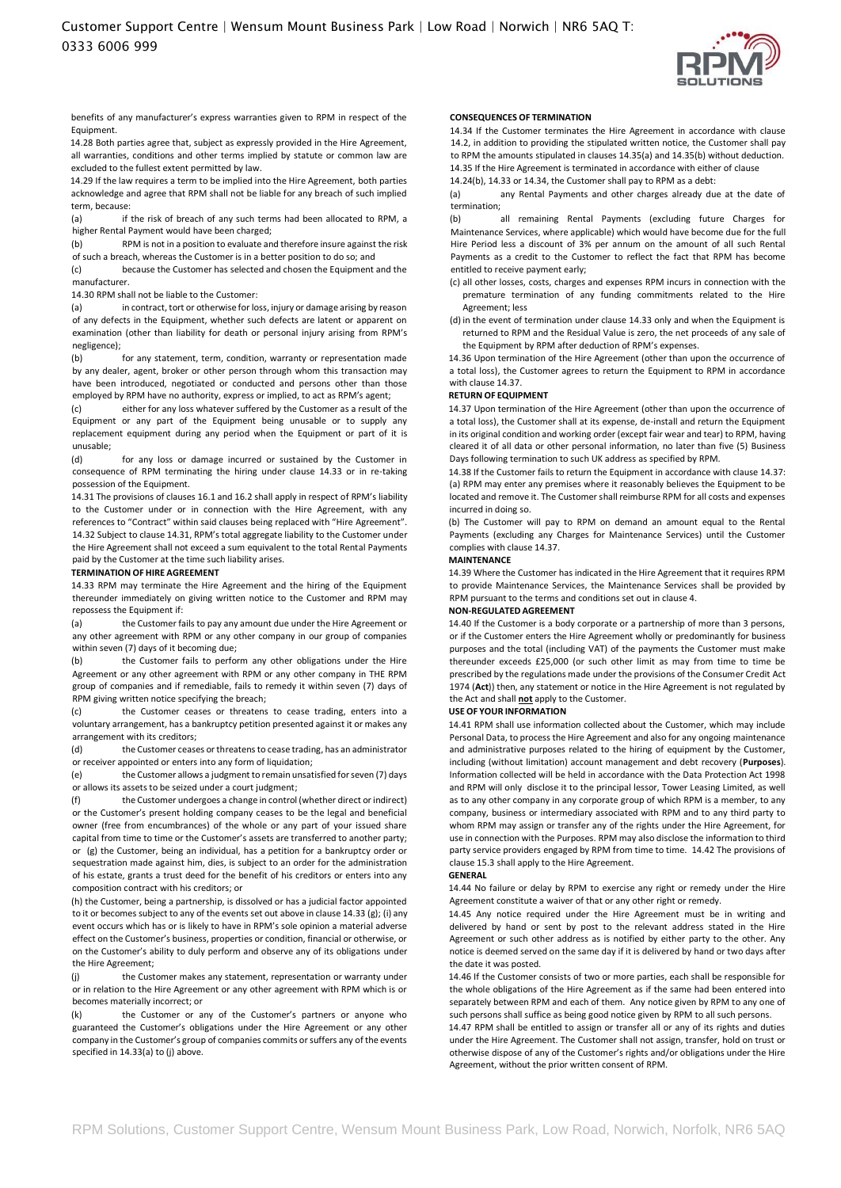

benefits of any manufacturer's express warranties given to RPM in respect of the Equipment.

14.28 Both parties agree that, subject as expressly provided in the Hire Agreement, all warranties, conditions and other terms implied by statute or common law are excluded to the fullest extent permitted by law.

14.29 If the law requires a term to be implied into the Hire Agreement, both parties acknowledge and agree that RPM shall not be liable for any breach of such implied term, because:

(a) if the risk of breach of any such terms had been allocated to RPM, a higher Rental Payment would have been charged;

(b) RPM is not in a position to evaluate and therefore insure against the risk of such a breach, whereas the Customer is in a better position to do so; and

(c) because the Customer has selected and chosen the Equipment and the manufacturer.

14.30 RPM shall not be liable to the Customer:

(a) in contract, tort or otherwise for loss, injury or damage arising by reason of any defects in the Equipment, whether such defects are latent or apparent on examination (other than liability for death or personal injury arising from RPM's negligence);

(b) for any statement, term, condition, warranty or representation made by any dealer, agent, broker or other person through whom this transaction may have been introduced, negotiated or conducted and persons other than those employed by RPM have no authority, express or implied, to act as RPM's agent;

(c) either for any loss whatever suffered by the Customer as a result of the Equipment or any part of the Equipment being unusable or to supply any replacement equipment during any period when the Equipment or part of it is unusable;

(d) for any loss or damage incurred or sustained by the Customer in consequence of RPM terminating the hiring under clause 14.33 or in re-taking possession of the Equipment.

14.31 The provisions of clauses 16.1 and 16.2 shall apply in respect of RPM's liability to the Customer under or in connection with the Hire Agreement, with any references to "Contract" within said clauses being replaced with "Hire Agreement". 14.32 Subject to clause 14.31, RPM's total aggregate liability to the Customer under the Hire Agreement shall not exceed a sum equivalent to the total Rental Payments paid by the Customer at the time such liability arises.

#### **TERMINATION OF HIRE AGREEMENT**

14.33 RPM may terminate the Hire Agreement and the hiring of the Equipment thereunder immediately on giving written notice to the Customer and RPM may repossess the Equipment if:

(a) the Customer fails to pay any amount due under the Hire Agreement or any other agreement with RPM or any other company in our group of companies within seven (7) days of it becoming due;

(b) the Customer fails to perform any other obligations under the Hire Agreement or any other agreement with RPM or any other company in THE RPM group of companies and if remediable, fails to remedy it within seven (7) days of RPM giving written notice specifying the breach;

(c) the Customer ceases or threatens to cease trading, enters into a voluntary arrangement, has a bankruptcy petition presented against it or makes any arrangement with its creditors;

(d) the Customer ceases or threatens to cease trading, has an administrator or receiver appointed or enters into any form of liquidation;

(e) the Customer allows a judgment to remain unsatisfied for seven (7) days or allows its assets to be seized under a court judgment;

(f) the Customer undergoes a change in control (whether direct or indirect) or the Customer's present holding company ceases to be the legal and beneficial owner (free from encumbrances) of the whole or any part of your issued share capital from time to time or the Customer's assets are transferred to another party; or (g) the Customer, being an individual, has a petition for a bankruptcy order or sequestration made against him, dies, is subject to an order for the administration of his estate, grants a trust deed for the benefit of his creditors or enters into any composition contract with his creditors; or

(h) the Customer, being a partnership, is dissolved or has a judicial factor appointed to it or becomes subject to any of the events set out above in clause 14.33 (g); (i) any event occurs which has or is likely to have in RPM's sole opinion a material adverse effect on the Customer's business, properties or condition, financial or otherwise, or on the Customer's ability to duly perform and observe any of its obligations under the Hire Agreement;

(j) the Customer makes any statement, representation or warranty under or in relation to the Hire Agreement or any other agreement with RPM which is or becomes materially incorrect; or

(k) the Customer or any of the Customer's partners or anyone who guaranteed the Customer's obligations under the Hire Agreement or any other company in the Customer's group of companies commits or suffers any of the events specified in 14.33(a) to (j) above.

#### **CONSEQUENCES OF TERMINATION**

14.34 If the Customer terminates the Hire Agreement in accordance with clause 14.2, in addition to providing the stipulated written notice, the Customer shall pay to RPM the amounts stipulated in clauses 14.35(a) and 14.35(b) without deduction. 14.35 If the Hire Agreement is terminated in accordance with either of clause 14.24(b), 14.33 or 14.34, the Customer shall pay to RPM as a debt:

(a) any Rental Payments and other charges already due at the date of termination;

(b) all remaining Rental Payments (excluding future Charges for Maintenance Services, where applicable) which would have become due for the full Hire Period less a discount of 3% per annum on the amount of all such Rental Payments as a credit to the Customer to reflect the fact that RPM has become entitled to receive payment early;

- (c) all other losses, costs, charges and expenses RPM incurs in connection with the premature termination of any funding commitments related to the Hire Agreement; less
- (d) in the event of termination under clause 14.33 only and when the Equipment is returned to RPM and the Residual Value is zero, the net proceeds of any sale of the Equipment by RPM after deduction of RPM's expenses.

14.36 Upon termination of the Hire Agreement (other than upon the occurrence of a total loss), the Customer agrees to return the Equipment to RPM in accordance with clause 14.37.

### **RETURN OF EQUIPMENT**

14.37 Upon termination of the Hire Agreement (other than upon the occurrence of a total loss), the Customer shall at its expense, de-install and return the Equipment in its original condition and working order (except fair wear and tear) to RPM, having cleared it of all data or other personal information, no later than five (5) Business Days following termination to such UK address as specified by RPM.

14.38 If the Customer fails to return the Equipment in accordance with clause 14.37: (a) RPM may enter any premises where it reasonably believes the Equipment to be located and remove it. The Customer shall reimburse RPM for all costs and expenses incurred in doing so.

(b) The Customer will pay to RPM on demand an amount equal to the Rental Payments (excluding any Charges for Maintenance Services) until the Customer complies with clause 14.37.

## **MAINTENANCE**

14.39 Where the Customer has indicated in the Hire Agreement that it requires RPM to provide Maintenance Services, the Maintenance Services shall be provided by RPM pursuant to the terms and conditions set out in clause 4.

## **NON-REGULATED AGREEMENT**

14.40 If the Customer is a body corporate or a partnership of more than 3 persons, or if the Customer enters the Hire Agreement wholly or predominantly for business purposes and the total (including VAT) of the payments the Customer must make thereunder exceeds £25,000 (or such other limit as may from time to time be prescribed by the regulations made under the provisions of the Consumer Credit Act 1974 (**Act**)) then, any statement or notice in the Hire Agreement is not regulated by the Act and shall **not** apply to the Customer.

### **USE OF YOUR INFORMATION**

14.41 RPM shall use information collected about the Customer, which may include Personal Data, to process the Hire Agreement and also for any ongoing maintenance and administrative purposes related to the hiring of equipment by the Customer, including (without limitation) account management and debt recovery (**Purposes**). Information collected will be held in accordance with the Data Protection Act 1998 and RPM will only disclose it to the principal lessor, Tower Leasing Limited, as well as to any other company in any corporate group of which RPM is a member, to any company, business or intermediary associated with RPM and to any third party to whom RPM may assign or transfer any of the rights under the Hire Agreement, for use in connection with the Purposes. RPM may also disclose the information to third party service providers engaged by RPM from time to time. 14.42 The provisions of clause 15.3 shall apply to the Hire Agreement.

#### **GENERAL**

14.44 No failure or delay by RPM to exercise any right or remedy under the Hire Agreement constitute a waiver of that or any other right or remedy.

14.45 Any notice required under the Hire Agreement must be in writing and delivered by hand or sent by post to the relevant address stated in the Hire Agreement or such other address as is notified by either party to the other. Any notice is deemed served on the same day if it is delivered by hand or two days after the date it was posted.

14.46 If the Customer consists of two or more parties, each shall be responsible for the whole obligations of the Hire Agreement as if the same had been entered into separately between RPM and each of them. Any notice given by RPM to any one of such persons shall suffice as being good notice given by RPM to all such persons.

14.47 RPM shall be entitled to assign or transfer all or any of its rights and duties under the Hire Agreement. The Customer shall not assign, transfer, hold on trust or otherwise dispose of any of the Customer's rights and/or obligations under the Hire Agreement, without the prior written consent of RPM.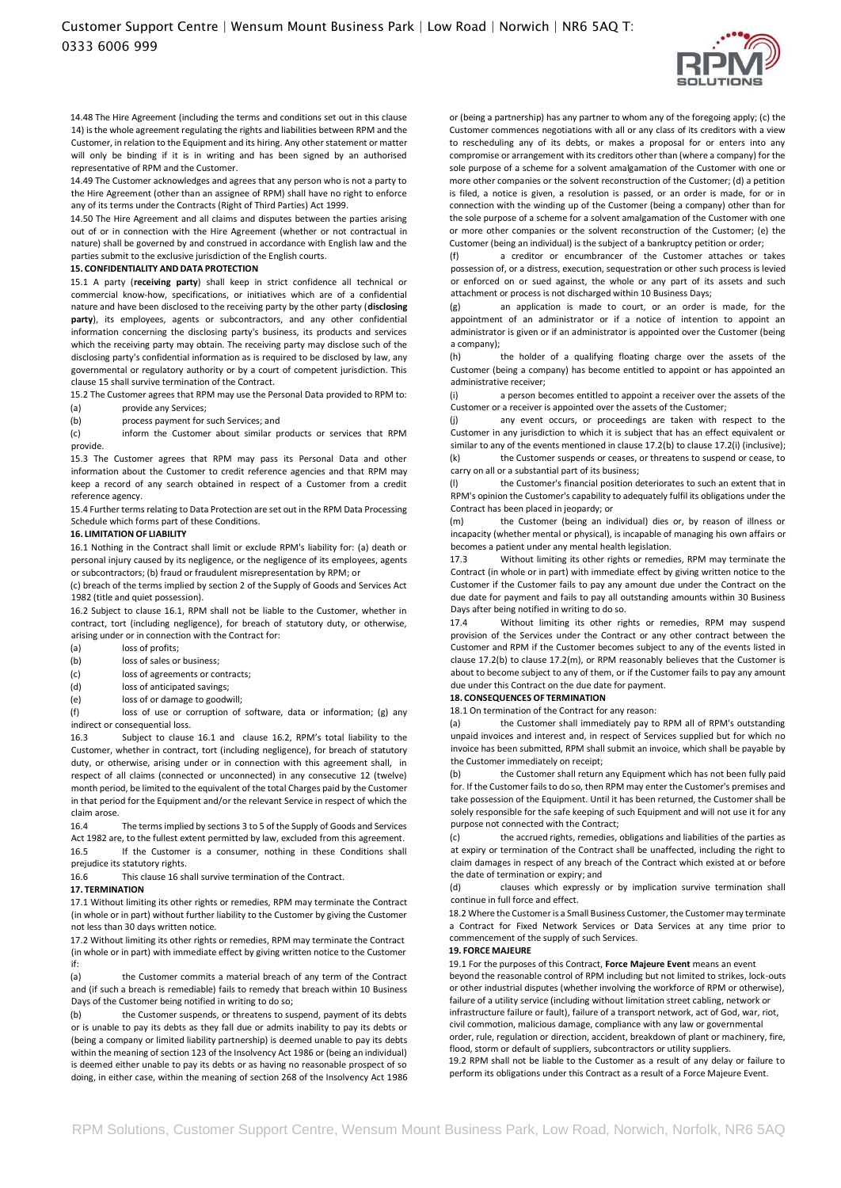

14.48 The Hire Agreement (including the terms and conditions set out in this clause 14) is the whole agreement regulating the rights and liabilities between RPM and the Customer, in relation to the Equipment and its hiring. Any other statement or matter will only be binding if it is in writing and has been signed by an authorised representative of RPM and the Customer.

14.49 The Customer acknowledges and agrees that any person who is not a party to the Hire Agreement (other than an assignee of RPM) shall have no right to enforce any of its terms under the Contracts (Right of Third Parties) Act 1999.

14.50 The Hire Agreement and all claims and disputes between the parties arising out of or in connection with the Hire Agreement (whether or not contractual in nature) shall be governed by and construed in accordance with English law and the parties submit to the exclusive jurisdiction of the English courts.

#### **15. CONFIDENTIALITY AND DATA PROTECTION**

15.1 A party (**receiving party**) shall keep in strict confidence all technical or commercial know-how, specifications, or initiatives which are of a confidential nature and have been disclosed to the receiving party by the other party (**disclosing party**), its employees, agents or subcontractors, and any other confidential information concerning the disclosing party's business, its products and services which the receiving party may obtain. The receiving party may disclose such of the disclosing party's confidential information as is required to be disclosed by law, any governmental or regulatory authority or by a court of competent jurisdiction. This clause 15 shall survive termination of the Contract.

15.2 The Customer agrees that RPM may use the Personal Data provided to RPM to:

- (a) provide any Services;
- (b) process payment for such Services; and

(c) inform the Customer about similar products or services that RPM provide.

15.3 The Customer agrees that RPM may pass its Personal Data and other information about the Customer to credit reference agencies and that RPM may keep a record of any search obtained in respect of a Customer from a credit reference agency.

15.4 Further terms relating to Data Protection are set out in the RPM Data Processing Schedule which forms part of these Conditions.

## **16. LIMITATION OF LIABILITY**

16.1 Nothing in the Contract shall limit or exclude RPM's liability for: (a) death or personal injury caused by its negligence, or the negligence of its employees, agents or subcontractors; (b) fraud or fraudulent misrepresentation by RPM; or

(c) breach of the terms implied by section 2 of the Supply of Goods and Services Act 1982 (title and quiet possession).

16.2 Subject to clause 16.1, RPM shall not be liable to the Customer, whether in contract, tort (including negligence), for breach of statutory duty, or otherwise, arising under or in connection with the Contract for:

- (a) loss of profits;
- (b) loss of sales or business;
- (c) loss of agreements or contracts;
- (d) loss of anticipated savings;
- (e) loss of or damage to goodwill;

(f) loss of use or corruption of software, data or information; (g) any indirect or consequential loss.

16.3 Subject to clause 16.1 and clause 16.2, RPM's total liability to the Customer, whether in contract, tort (including negligence), for breach of statutory duty, or otherwise, arising under or in connection with this agreement shall, in respect of all claims (connected or unconnected) in any consecutive 12 (twelve) month period, be limited to the equivalent of the total Charges paid by the Customer in that period for the Equipment and/or the relevant Service in respect of which the claim arose.

16.4 The terms implied by sections 3 to 5 of the Supply of Goods and Services Act 1982 are, to the fullest extent permitted by law, excluded from this agreement. 16.5 If the Customer is a consumer, nothing in these Conditions shall prejudice its statutory rights.

16.6 This clause 16 shall survive termination of the Contract.

#### **17. TERMINATION**

17.1 Without limiting its other rights or remedies, RPM may terminate the Contract (in whole or in part) without further liability to the Customer by giving the Customer not less than 30 days written notice.

17.2 Without limiting its other rights or remedies, RPM may terminate the Contract (in whole or in part) with immediate effect by giving written notice to the Customer if:

(a) the Customer commits a material breach of any term of the Contract and (if such a breach is remediable) fails to remedy that breach within 10 Business Days of the Customer being notified in writing to do so;

(b) the Customer suspends, or threatens to suspend, payment of its debts or is unable to pay its debts as they fall due or admits inability to pay its debts or (being a company or limited liability partnership) is deemed unable to pay its debts within the meaning of section 123 of the Insolvency Act 1986 or (being an individual) is deemed either unable to pay its debts or as having no reasonable prospect of so doing, in either case, within the meaning of section 268 of the Insolvency Act 1986

or (being a partnership) has any partner to whom any of the foregoing apply; (c) the Customer commences negotiations with all or any class of its creditors with a view to rescheduling any of its debts, or makes a proposal for or enters into any compromise or arrangement with its creditors other than (where a company) for the sole purpose of a scheme for a solvent amalgamation of the Customer with one or more other companies or the solvent reconstruction of the Customer; (d) a petition is filed, a notice is given, a resolution is passed, or an order is made, for or in connection with the winding up of the Customer (being a company) other than for the sole purpose of a scheme for a solvent amalgamation of the Customer with one or more other companies or the solvent reconstruction of the Customer; (e) the Customer (being an individual) is the subject of a bankruptcy petition or order;

(f) a creditor or encumbrancer of the Customer attaches or takes possession of, or a distress, execution, sequestration or other such process is levied or enforced on or sued against, the whole or any part of its assets and such attachment or process is not discharged within 10 Business Days;

(g) an application is made to court, or an order is made, for the appointment of an administrator or if a notice of intention to appoint an administrator is given or if an administrator is appointed over the Customer (being a company);

(h) the holder of a qualifying floating charge over the assets of the Customer (being a company) has become entitled to appoint or has appointed an administrative receiver;

(i) a person becomes entitled to appoint a receiver over the assets of the Customer or a receiver is appointed over the assets of the Customer;

(j) any event occurs, or proceedings are taken with respect to the Customer in any jurisdiction to which it is subject that has an effect equivalent or similar to any of the events mentioned in clause 17.2(b) to clause 17.2(i) (inclusive); (k) the Customer suspends or ceases, or threatens to suspend or cease, to carry on all or a substantial part of its business;

(l) the Customer's financial position deteriorates to such an extent that in RPM's opinion the Customer's capability to adequately fulfil its obligations under the Contract has been placed in jeopardy; or

(m) the Customer (being an individual) dies or, by reason of illness or incapacity (whether mental or physical), is incapable of managing his own affairs or becomes a patient under any mental health legislation.

17.3 Without limiting its other rights or remedies, RPM may terminate the Contract (in whole or in part) with immediate effect by giving written notice to the Customer if the Customer fails to pay any amount due under the Contract on the due date for payment and fails to pay all outstanding amounts within 30 Business Days after being notified in writing to do so.

17.4 Without limiting its other rights or remedies, RPM may suspend provision of the Services under the Contract or any other contract between the Customer and RPM if the Customer becomes subject to any of the events listed in clause 17.2(b) to clause 17.2(m), or RPM reasonably believes that the Customer is about to become subject to any of them, or if the Customer fails to pay any amount due under this Contract on the due date for payment.

#### **18. CONSEQUENCES OF TERMINATION**

18.1 On termination of the Contract for any reason:

the Customer shall immediately pay to RPM all of RPM's outstanding unpaid invoices and interest and, in respect of Services supplied but for which no invoice has been submitted, RPM shall submit an invoice, which shall be payable by the Customer immediately on receipt;

(b) the Customer shall return any Equipment which has not been fully paid for. If the Customer fails to do so, then RPM may enter the Customer's premises and take possession of the Equipment. Until it has been returned, the Customer shall be solely responsible for the safe keeping of such Equipment and will not use it for any purpose not connected with the Contract;

(c) the accrued rights, remedies, obligations and liabilities of the parties as at expiry or termination of the Contract shall be unaffected, including the right to claim damages in respect of any breach of the Contract which existed at or before the date of termination or expiry; and

(d) clauses which expressly or by implication survive termination shall continue in full force and effect.

18.2 Where the Customer is a Small Business Customer, the Customer may terminate a Contract for Fixed Network Services or Data Services at any time prior to commencement of the supply of such Services.

## **19. FORCE MAJEURE**

19.1 For the purposes of this Contract, **Force Majeure Event** means an event beyond the reasonable control of RPM including but not limited to strikes, lock-outs or other industrial disputes (whether involving the workforce of RPM or otherwise), failure of a utility service (including without limitation street cabling, network or infrastructure failure or fault), failure of a transport network, act of God, war, riot, civil commotion, malicious damage, compliance with any law or governmental order, rule, regulation or direction, accident, breakdown of plant or machinery, fire, flood, storm or default of suppliers, subcontractors or utility suppliers. 19.2 RPM shall not be liable to the Customer as a result of any delay or failure to perform its obligations under this Contract as a result of a Force Majeure Event.